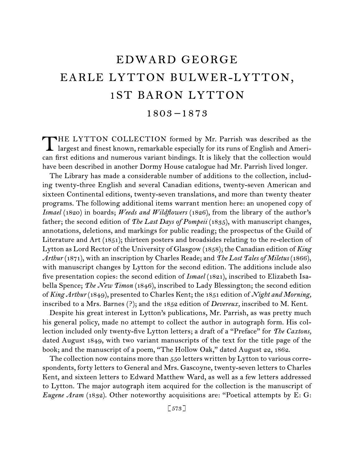# EDWARD GEORGE EARLE LYTTON BULWER-LYTTON, 1ST BARON LYTTON

# 1803 –1873

HE LYTTON COLLECTION formed by Mr. Parrish was described as the THE LYTTON COLLECTION formed by Mr. Parrish was described as the largest and finest known, remarkable especially for its runs of English and American first editions and numerous variant bindings. It is likely that the collection would have been described in another Dormy House catalogue had Mr. Parrish lived longer.

The Library has made a considerable number of additions to the collection, including twenty-three English and several Canadian editions, twenty-seven American and sixteen Continental editions, twenty-seven translations, and more than twenty theater programs. The following additional items warrant mention here: an unopened copy of *Ismael* (1820) in boards; *Weeds and Wildflowers* (1826), from the library of the author's father; the second edition of *The Last Days of Pompeii* (1835), with manuscript changes, annotations, deletions, and markings for public reading; the prospectus of the Guild of Literature and Art (1851); thirteen posters and broadsides relating to the re-election of Lytton as Lord Rector of the University of Glasgow (1858); the Canadian edition of *King Arthur* (1871), with an inscription by Charles Reade; and *The Lost Tales of Miletus* (1866), with manuscript changes by Lytton for the second edition. The additions include also five presentation copies: the second edition of *Ismael* (1821), inscribed to Elizabeth Isabella Spence; *The New Timon* (1846), inscribed to Lady Blessington; the second edition of *King Arthur* (1849), presented to Charles Kent; the 1851 edition of *Night and Morning,*  inscribed to a Mrs. Barnes (?); and the 1852 edition of *Devereux,* inscribed to M. Kent.

Despite his great interest in Lytton's publications, Mr. Parrish, as was pretty much his general policy, made no attempt to collect the author in autograph form. His collection included only twenty-five Lytton letters; a draft of a "Preface" for *The Caxtons,*  dated August 1849, with two variant manuscripts of the text for the title page of the book; and the manuscript of a poem, "The Hollow Oak," dated August 22, 1862.

The collection now contains more than 550 letters written by Lytton to various correspondents, forty letters to General and Mrs. Gascoyne, twenty-seven letters to Charles Kent, and sixteen letters to Edward Matthew Ward, as well as a few letters addressed to Lytton. The major autograph item acquired for the collection is the manuscript of *Eugene Aram* (1832). Other noteworthy acquisitions are: "Poetical attempts by E: G: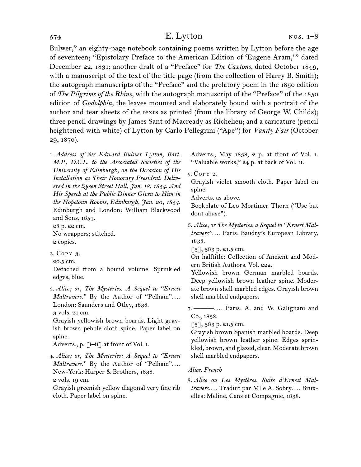Bulwer," an eighty-page notebook containing poems written by Lytton before the age of seventeen; "Epistolary Preface to the American Edition of 'Eugene Aram,'" dated December 22, 1831; another draft of a "Preface" for *The Caxtons,* dated October 1849, with a manuscript of the text of the title page (from the collection of Harry B. Smith); the autograph manuscripts of the "Preface" and the prefatory poem in the 1850 edition of *The Pilgrims of the Rhine,* with the autograph manuscript of the "Preface" of the 1850 edition of *Godolphin,* the leaves mounted and elaborately bound with a portrait of the author and tear sheets of the texts as printed (from the library of George W. Childs); three pencil drawings by James Sant of Macready as Richelieu; and a caricature (pencil heightened with white) of Lytton by Carlo Pellegrini ("Ape") for *Vanity Fair* (October 29, 1870).

1. *Address of Sir Edward Bulwer Lytton, Bart. M.P., D.C.L. to the Associated Societies of the University of Edinburgh, on the Occasion of His Installation as Their Honorary President. Delivered in the Queen Street Hall, Jan. 18, 1854. And His Speech at the Public Dinner Given to Him in the Hopetoun Rooms, Edinburgh, Jan. 20, 1854.* Edinburgh and London: William Blackwood and Sons, 1854. 28 p. 22 cm.

No wrappers; stitched. 2 copies.

2. Copy 3.

20.5 cm.

Detached from a bound volume. Sprinkled edges, blue.

3. *Alice; or, The Mysteries. A Sequel to "Ernest Maltravers."* By the Author of "Pelham"*. . . .* London: Saunders and Otley, 1838.

3 vols. 21 cm.

Grayish yellowish brown boards. Light grayish brown pebble cloth spine. Paper label on spine.

Adverts., p. [i-ii] at front of Vol. I.

4. *Alice; or, The Mysteries: A Sequel to "Ernest Maltravers."* By the Author of "Pelham"*. . . .* New-York: Harper & Brothers, 1838. 2 vols. 19 cm.

Grayish greenish yellow diagonal very fine rib cloth. Paper label on spine.

Adverts., May 1838, 2 p. at front of Vol. i. "Valuable works," 24 p. at back of Vol. ii.

5. Copy 2.

Grayish violet smooth cloth. Paper label on spine.

Adverts. as above.

Bookplate of Leo Mortimer Thorn ("Use but dont abuse").

6. *Alice, or The Mysteries, a Sequel to "Ernest Maltravers". . . .* Paris: Baudry's European Library, 1838.

[3], 383 p. 21.5 cm.

On halftitle: Collection of Ancient and Modern British Authors. Vol. 222.

Yellowish brown German marbled boards. Deep yellowish brown leather spine. Moderate brown shell marbled edges. Grayish brown shell marbled endpapers.

7. ———*. . . .* Paris: A. and W. Galignani and Co., 1838.

 $\lceil 3 \rceil$ , 383 p. 21.5 cm.

Grayish brown Spanish marbled boards. Deep yellowish brown leather spine. Edges sprinkled, brown, and glazed, clear. Moderate brown shell marbled endpapers.

# *Alice. French*

<sup>8.</sup> *Alice ou Les Mystères, Suite d'Ernest Maltravers. . . .* Traduit par Mlle A. Sobry*. . . .* Bruxelles: Meline, Cans et Compagnie, 1838.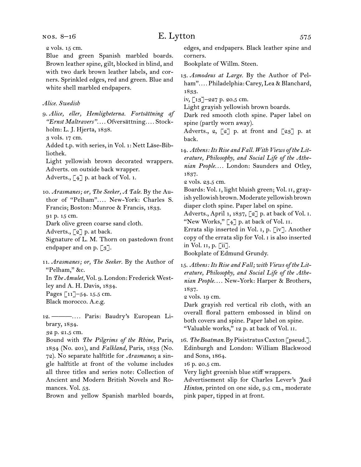# nos. 8–16

# E. Lytton 575

2 vols. 15 cm.

Blue and green Spanish marbled boards. Brown leather spine, gilt, blocked in blind, and with two dark brown leather labels, and corners. Sprinkled edges, red and green. Blue and white shell marbled endpapers.

# *Alice. Swedish*

9. *Alice, eller, Hemligheterna. Fortsättning af "Ernst Maltravers". . . .* Ofversättning*. . . .* Stockholm: L. J. Hjerta, 1838.

3 vols. 17 cm.

Added t.p. with series, in Vol. 1: Nett Läse-Bibliothek.

Light yellowish brown decorated wrappers. Adverts. on outside back wrapper.

Adverts.,  $\begin{bmatrix} 4 \end{bmatrix}$  p. at back of Vol. 1.

10. *Arasmanes; or, The Seeker, A Tale.* By the Author of "Pelham"*. . . .* New-York: Charles S. Francis; Boston: Munroe & Francis, 1833. 91 p. 15 cm. Dark olive green coarse sand cloth.

Adverts., [2] p. at back.

- Signature of L. M. Thorn on pastedown front endpaper and on p.  $\lceil 3 \rceil$ .
- 11. *Arasmanes; or, The Seeker.* By the Author of "Pelham," &c. In *The Amulet,* Vol. 9. London: Frederick Westley and A. H. Davis, 1834. Pages [11]–54. 15.5 cm. Black morocco. A.e.g.

12. ———*. . . .* Paris: Baudry's European Library, 1834.

32 p. 21.5 cm.

Bound with *The Pilgrims of the Rhine,* Paris, 1834 (No. 201), and *Falkland,* Paris, 1833 (No. 72). No separate halftitle for *Arasmanes*; a single halftitle at front of the volume includes all three titles and series note: Collection of Ancient and Modern British Novels and Romances. Vol. 53.

Brown and yellow Spanish marbled boards,

edges, and endpapers. Black leather spine and corners.

Bookplate of Willm. Steen.

13. *Asmodeus at Large.* By the Author of Pelham"*. . . .* Philadelphia: Carey, Lea & Blanchard, 1833.

iv, [13]–227 p. 20.5 cm.

Light grayish yellowish brown boards.

Dark red smooth cloth spine. Paper label on spine (partly worn away).

Adverts.,  $2$ ,  $\lceil 2 \rceil$  p. at front and  $\lceil 23 \rceil$  p. at back.

14. *Athens: Its Rise and Fall. With Views of the Literature, Philosophy, and Social Life of the Athenian People. . . .* London: Saunders and Otley, 1837.

2 vols. 23.5 cm.

Boards: Vol. i, light bluish green; Vol. ii, grayish yellowish brown. Moderate yellowish brown diaper cloth spine. Paper label on spine.

Adverts., April 1, 1837, [2] p. at back of Vol. i. "New Works,"  $\begin{bmatrix} 4 \end{bmatrix}$  p. at back of Vol. II.

Errata slip inserted in Vol. i, p. [iv]. Another copy of the errata slip for Vol. i is also inserted in Vol. ii, p. [ii].

Bookplate of Edmund Grundy.

15. *Athens: Its Rise and Fall; with Views of the Literature, Philosophy, and Social Life of the Athenian People. . . .* New-York: Harper & Brothers, 1837.

2 vols. 19 cm.

Dark grayish red vertical rib cloth, with an overall floral pattern embossed in blind on both covers and spine. Paper label on spine. "Valuable works," 12 p. at back of Vol. ii.

16. *The Boatman.* By Pisistratus Caxton [pseud.]. Edinburgh and London: William Blackwood and Sons, 1864.

16 p. 20.5 cm.

Very light greenish blue stiff wrappers.

Advertisement slip for Charles Lever's *Jack Hinton,* printed on one side, 9.5 cm., moderate pink paper, tipped in at front.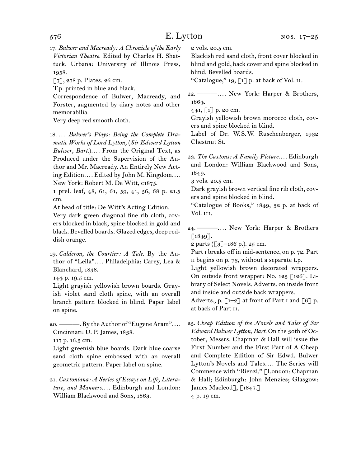17. *Bulwer and Macready: A Chronicle of the Early Victorian Theatre.* Edited by Charles H. Shattuck. Urbana: University of Illinois Press, 1958.

[7], 278 p. Plates. 26 cm.

T.p. printed in blue and black.

Correspondence of Bulwer, Macready, and Forster, augmented by diary notes and other memorabilia.

Very deep red smooth cloth.

18. … *Bulwer's Plays: Being the Complete Dramatic Works of Lord Lytton,* (*Sir Edward Lytton Bulwer, Bart.*)*. . . .* From the Original Text, as Produced under the Supervision of the Author and Mr. Macready. An Entirely New Acting Edition*. . . .* Edited by John M. Kingdom*. . . .* New York: Robert M. De Witt, c1875.

1 prel. leaf, 48, 61, 61, 59, 41, 56, 68 p. 21.5 cm.

At head of title: De Witt's Acting Edition.

Very dark green diagonal fine rib cloth, covers blocked in black, spine blocked in gold and black. Bevelled boards. Glazed edges, deep reddish orange.

19. *Calderon, the Courtier: A Tale.* By the Author of "Leila"*. . . .* Philadelphia: Carey, Lea & Blanchard, 1838.

144 p. 19.5 cm.

Light grayish yellowish brown boards. Grayish violet sand cloth spine, with an overall branch pattern blocked in blind. Paper label on spine.

20. ———. By the Author of "Eugene Aram"*. . . .* Cincinnati: U. P. James, 1838.

117 p. 16.5 cm.

Light greenish blue boards. Dark blue coarse sand cloth spine embossed with an overall geometric pattern. Paper label on spine.

21. *Caxtoniana: A Series of Essays on Life, Literature, and Manners. . . .* Edinburgh and London: William Blackwood and Sons, 1863.

2 vols. 20.5 cm.

Blackish red sand cloth, front cover blocked in blind and gold, back cover and spine blocked in blind. Bevelled boards.

"Catalogue,"  $19, 71$  p. at back of Vol. II.

22. ———*. . . .* New York: Harper & Brothers, 1864.

441,  $\lceil 1 \rceil$  p. 20 cm.

Grayish yellowish brown morocco cloth, covers and spine blocked in blind.

Label of Dr. W.S.W. Ruschenberger, 1932 Chestnut St.

23. *The Caxtons: A Family Picture. . . .* Edinburgh and London: William Blackwood and Sons, 1849.

3 vols. 20.5 cm.

Dark grayish brown vertical fine rib cloth, covers and spine blocked in blind.

"Catalogue of Books," 1849, 32 p. at back of Vol. iii.

24. ———*. . . .* New York: Harper & Brothers  $[1849]$ .

2 parts ( $\lceil 3 \rceil$ –186 p.). 25 cm.

Part i breaks off in mid-sentence, on p. 72. Part II begins on p. 73, without a separate t.p.

Light yellowish brown decorated wrappers. On outside front wrapper: No. 125 [126]. Library of Select Novels. Adverts. on inside front and inside and outside back wrappers.

Adverts., p.  $\lceil 1-2 \rceil$  at front of Part I and  $\lceil 6 \rceil$  p. at back of Part ii.

25. *Cheap Edition of the Novels and Tales of Sir Edward Bulwer Lytton, Bart.* On the 30th of October, Messrs. Chapman & Hall will issue the First Number and the First Part of A Cheap and Complete Edition of Sir Edwd. Bulwer Lytton's Novels and Tales*. . . .* The Series will Commence with "Rienzi." [London: Chapman & Hall; Edinburgh: John Menzies; Glasgow: James Macleod], [1847.]

4 p. 19 cm.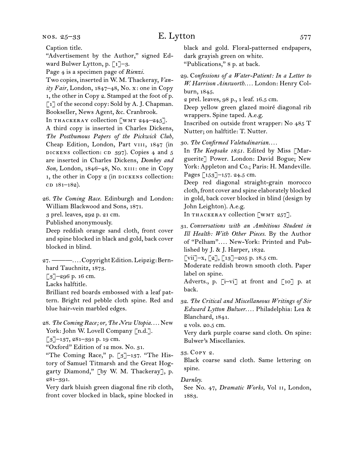nos. 25–33

# E. Lytton 577

Caption title.

"Advertisement by the Author," signed Edward Bulwer Lytton, p. [1]–3.

Page 4 is a specimen page of *Rienzi.*

Two copies, inserted in W. M. Thackeray, *Vanity Fair,* London, 1847–48, No. x: one in Copy 1, the other in Copy 2. Stamped at the foot of p.  $\lceil 1 \rceil$  of the second copy: Sold by A. J. Chapman.

Bookseller, News Agent, &c. Cranbrook. In THACKERAY collection  $\lceil$  WMT 244–245].

A third copy is inserted in Charles Dickens, *The Posthumous Papers of the Pickwick Club,*  Cheap Edition, London, Part vIII, 1847 (in DICKENS collection:  $CD$  397). Copies 4 and 5 are inserted in Charles Dickens, *Dombey and Son,* London, 1846–48, No. xiii: one in Copy 1, the other in Copy  $2$  (in DICKENS collection:  $CD$  181–182).

26. *The Coming Race.* Edinburgh and London: William Blackwood and Sons, 1871.

3 prel. leaves, 292 p. 21 cm.

Published anonymously.

Deep reddish orange sand cloth, front cover and spine blocked in black and gold, back cover blocked in blind.

27. ———*. . . .* Copyright Edition. Leipzig: Bernhard Tauchnitz, 1873.

 $\lceil 3 \rceil$ –296 p. 16 cm.

Lacks halftitle.

Brilliant red boards embossed with a leaf pattern. Bright red pebble cloth spine. Red and blue hair-vein marbled edges.

# 28. *The Coming Race; or, The New Utopia. . . .* New York: John W. Lovell Company [n.d.].

 $\left[\begin{smallmatrix}3\\1\end{smallmatrix}\right]$ -137, 281-391 p. 19 cm.

"Oxford" Edition of 12 mos. No. 31.

"The Coming Race," p. [3]–137. "The History of Samuel Titmarsh and the Great Hoggarty Diamond," [by W. M. Thackeray], p. 281–391.

Very dark bluish green diagonal fine rib cloth, front cover blocked in black, spine blocked in

black and gold. Floral-patterned endpapers, dark grayish green on white.

"Publications," 8 p. at back.

29. C*onfessions of a Water-Patient: In a Letter to W. Harrison Ainsworth. . . .* London: Henry Colburn, 1845.

2 prel. leaves, 98 p., 1 leaf. 16.5 cm.

Deep yellow green glazed moiré diagonal rib wrappers. Spine taped. A.e.g.

Inscribed on outside front wrapper: No 485 T Nutter; on halftitle: T. Nutter.

30. *The Confirmed Valetudinarian. . . .*

In *The Keepsake 1851.* Edited by Miss [Marguerite] Power. London: David Bogue; New York: Appleton and Co.; Paris: H. Mandeville. Pages [153]–157. 24.5 cm.

Deep red diagonal straight-grain morocco cloth, front cover and spine elaborately blocked in gold, back cover blocked in blind (design by John Leighton). A.e.g.

In THACKERAY collection [WMT 257].

31. *Conversations with an Ambitious Student in Ill Health: With Other Pieces.* By the Author of "Pelham"*. . . .* New-York: Printed and Published by J. & J. Harper, 1832.

 $\lfloor \text{vii} \rfloor - x, \lfloor 2 \rfloor, \lfloor 13 \rfloor - 205 \text{ p. } 18.5 \text{ cm.}$ 

Moderate reddish brown smooth cloth. Paper label on spine.

Adverts., p. [i–vi] at front and [10] p. at back.

32. *The Critical and Miscellaneous Writings of Sir Edward Lytton Bulwer. . . .* Philadelphia: Lea & Blanchard, 1841.

2 vols. 20.5 cm.

Very dark purple coarse sand cloth. On spine: Bulwer's Miscellanies.

33. Copy 2.

Black coarse sand cloth. Same lettering on spine.

### *Darnley.*

See No. 47, *Dramatic Works,* Vol ii, London, 1883.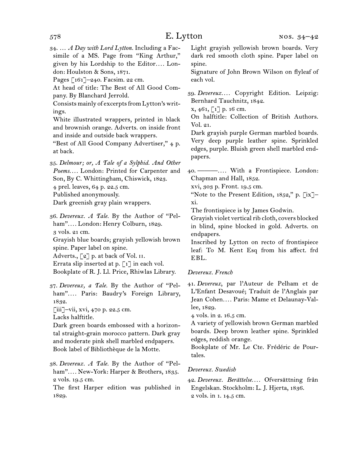- 34. … *A Day with Lord Lytton.* Including a Facsimile of a MS. Page from "King Arthur," given by his Lordship to the Editor*. . . .* London: Houlston & Sons, 1871.
- Pages [161]–240. Facsim. 22 cm.

At head of title: The Best of All Good Company. By Blanchard Jerrold.

Consists mainly of excerpts from Lytton's writings.

White illustrated wrappers, printed in black and brownish orange. Adverts. on inside front and inside and outside back wrappers.

"Best of All Good Company Advertiser," 4 p. at back.

35. *Delmour; or, A Tale of a Sylphid. And Other Poems. . . .* London: Printed for Carpenter and Son, By C. Whittingham, Chiswick, 1823. 4 prel. leaves, 64 p. 22.5 cm. Published anonymously. Dark greenish gray plain wrappers.

36. *Devereux. A Tale.* By the Author of "Pelham"*. . . .* London: Henry Colburn, 1829. 3 vols. 21 cm. Grayish blue boards; grayish yellowish brown spine. Paper label on spine. Adverts.,  $\lceil 2 \rceil$  p. at back of Vol. II. Errata slip inserted at p.  $\lceil 1 \rceil$  in each vol. Bookplate of R. J. Ll. Price, Rhiwlas Library.

37. *Devereux, a Tale.* By the Author of "Pelham"*. . . .* Paris: Baudry's Foreign Library, 1832.

 $\lceil$ iii]–vii, xvi, 470 p. 22.5 cm.

Lacks halftitle.

Dark green boards embossed with a horizontal straight-grain morocco pattern. Dark gray and moderate pink shell marbled endpapers. Book label of Bibliothèque de la Motte.

38. *Devereux. A Tale.* By the Author of "Pelham"*. . . .* New-York: Harper & Brothers, 1835. 2 vols. 19.5 cm.

The first Harper edition was published in 1829.

Light grayish yellowish brown boards. Very dark red smooth cloth spine. Paper label on spine.

Signature of John Brown Wilson on flyleaf of each vol.

39. *Devereux. . . .* Copyright Edition. Leipzig: Bernhard Tauchnitz, 1842.

x, 461, [1] p. 16 cm.

On halftitle: Collection of British Authors. Vol. 21.

Dark grayish purple German marbled boards. Very deep purple leather spine. Sprinkled edges, purple. Bluish green shell marbled endpapers.

40. ———*. . . .* With a Frontispiece. London: Chapman and Hall, 1852.

xvi, 303 p. Front. 19.5 cm.

"Note to the Present Edition,  $1852$ ," p. [ix]xi.

The frontispiece is by James Godwin.

Grayish violet vertical rib cloth, covers blocked in blind, spine blocked in gold. Adverts. on endpapers.

Inscribed by Lytton on recto of frontispiece leaf: To M. Kent Esq from his affect. frd EBL.

# *Devereux. French*

41. *Devereux*, par l'Auteur de Pelham et de L'Enfant Desavoué; Traduit de l'Anglais par Jean Cohen*. . . .* Paris: Mame et Delaunay-Vallee, 1829.

4 vols. in 2. 16.5 cm.

A variety of yellowish brown German marbled boards. Deep brown leather spine. Sprinkled edges, reddish orange.

Bookplate of Mr. Le Cte. Frédéric de Pourtales.

# *Devereux. Swedish*

42. *Devereux. Berättelse. . . .* Ofversättning från Engelskan. Stockholm: L. J. Hjerta, 1836. 2 vols. in 1. 14.5 cm.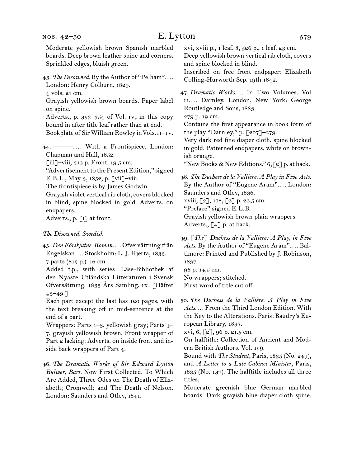Moderate yellowish brown Spanish marbled boards. Deep brown leather spine and corners. Sprinkled edges, bluish green.

43. *The Disowned.* By the Author of "Pelham"*. . . .*  London: Henry Colburn, 1829.

4 vols. 21 cm.

Grayish yellowish brown boards. Paper label on spine.

Adverts., p. 353–354 of Vol. iv, in this copy bound in after title leaf rather than at end. Bookplate of Sir William Rowley in Vols.  $II-IV$ .

44. ———*. . . .* With a Frontispiece. London: Chapman and Hall, 1852.

 $\lceil$ iii]–viii, 312 p. Front. 19.5 cm.

"Advertisement to the Present Edition," signed E.B.L., May 3, 1852, p. [vii]–viii.

The frontispiece is by James Godwin.

Grayish violet vertical rib cloth, covers blocked in blind, spine blocked in gold. Adverts. on endpapers.

Adverts., p. [i] at front.

# *The Disowned. Swedish*

45. *Den Förskjutne. Roman. . . .* Ofversättning från Engelskan*. . . .* Stockholm: L. J. Hjerta, 1835. 7 parts (815 p.). 16 cm.

Added t.p., with series: Läse-Bibliothek af den Nyaste Utländska Litteraturen i Svensk Öfversättning. 1835 Års Samling. ix. [Häftet  $43 - 49.$ ]

Each part except the last has 120 pages, with the text breaking off in mid-sentence at the end of a part.

Wrappers: Parts 1–3, yellowish gray; Parts 4– 7, grayish yellowish brown. Front wrapper of Part 2 lacking. Adverts. on inside front and inside back wrappers of Part 4.

46. *The Dramatic Works of Sir Edward Lytton Bulwer, Bart.* Now First Collected. To Which Are Added, Three Odes on The Death of Elizabeth; Cromwell; and The Death of Nelson. London: Saunders and Otley, 1841.

xvi, xviii p., 1 leaf, 8, 526 p., 1 leaf. 23 cm. Deep yellowish brown vertical rib cloth, covers

and spine blocked in blind. Inscribed on free front endpaper: Elizabeth Colling-Hurworth Sep. 19th 1842.

47. *Dramatic Works. . . .* In Two Volumes. Vol ii*. . . .* Darnley. London, New York: George Routledge and Sons, 1883.

279 p. 19 cm.

Contains the first appearance in book form of the play "Darnley," p. [207]–279.

Very dark red fine diaper cloth, spine blocked in gold. Patterned endpapers, white on brownish orange.

"New Books & New Editions," 6, [2] p. at back.

48. *The Duchess de la Valliere. A Play in Five Acts.* By the Author of "Eugene Aram"*. . . .* London: Saunders and Otley, 1836. xviii, [2], 178, [2] p. 22.5 cm.

"Preface" signed E.L.B.

Grayish yellowish brown plain wrappers.

Adverts.,  $\lceil 4 \rceil$  p. at back.

49. *[The] Duchess de la Valliere: A Play, in Five Acts.* By the Author of "Eugene Aram"*. . . .* Baltimore: Printed and Published by J. Robinson, 1837.

96 p. 14.5 cm.

No wrappers; stitched.

First word of title cut off.

50. *The Duchess de la Vallière. A Play in Five Acts. . . .* From the Third London Edition. With the Key to the Alterations. Paris: Baudry's European Library, 1837.

xvi, 6, [2], 96 p. 21.5 cm.

On halftitle: Collection of Ancient and Modern British Authors. Vol. 159.

Bound with *The Student,* Paris, 1835 (No. 249), and *A Letter to a Late Cabinet Minister,* Paris, 1835 (No. 137). The halftitle includes all three titles.

Moderate greenish blue German marbled boards. Dark grayish blue diaper cloth spine.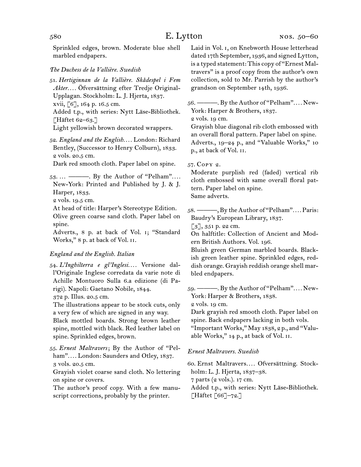Sprinkled edges, brown. Moderate blue shell marbled endpapers.

# *The Duchess de la Vallière. Swedish*

51. *Hertiginnan de la Vallière. Skådespel i Fem Akter. . . .* Öfversättning efter Tredje Original-Upplagan. Stockholm: L. J. Hjerta, 1837. xvii, [6], 164 p. 16.5 cm. Added t.p., with series: Nytt Läse-Bibliothek.

[Häftet 62–63.] Light yellowish brown decorated wrappers.

52. *England and the English. . . .* London: Richard Bentley, (Successor to Henry Colburn), 1833. 2 vols. 20.5 cm.

Dark red smooth cloth. Paper label on spine.

53. … ———. By the Author of "Pelham"*. . . .* New-York: Printed and Published by J. & J. Harper, 1833.

2 vols. 19.5 cm.

At head of title: Harper's Stereotype Edition. Olive green coarse sand cloth. Paper label on spine.

Adverts., 8 p. at back of Vol. i; "Standard Works," 8 p. at back of Vol. ii.

# *England and the English. Italian*

54. *L'Inghilterra e gl'Inglesi. . . .* Versione dall'Originale Inglese corredata da varie note di Achille Montuoro Sulla 6.a edizione (di Parigi). Napoli: Gaetano Nobile, 1844. 372 p. Illus. 20.5 cm.

The illustrations appear to be stock cuts, only a very few of which are signed in any way. Black mottled boards. Strong brown leather spine, mottled with black. Red leather label on spine. Sprinkled edges, brown.

55. *Ernest Maltravers*; By the Author of "Pelham"*. . . .* London: Saunders and Otley, 1837. 3 vols. 20.5 cm.

Grayish violet coarse sand cloth. No lettering on spine or covers.

The author's proof copy. With a few manuscript corrections, probably by the printer.

Laid in Vol. i, on Knebworth House letterhead dated 17th September, 1936, and signed Lytton, is a typed statement: This copy of "Ernest Maltravers" is a proof copy from the author's own collection, sold to Mr. Parrish by the author's grandson on September 14th, 1936.

56. ———. By the Author of "Pelham"*. . . .* New-York: Harper & Brothers, 1837.

2 vols. 19 cm.

Grayish blue diagonal rib cloth embossed with an overall floral pattern. Paper label on spine. Adverts., 19–24 p., and "Valuable Works," 10 p., at back of Vol. ii.

57. Copy 2.

Moderate purplish red (faded) vertical rib cloth embossed with same overall floral pattern. Paper label on spine. Same adverts.

58. ———, By the Author of "Pelham"*. . . .* Paris: Baudry's European Library, 1837.

 $[3]$ , 351 p. 22 cm.

On halftitle: Collection of Ancient and Modern British Authors. Vol. 196.

Bluish green German marbled boards. Blackish green leather spine. Sprinkled edges, reddish orange. Grayish reddish orange shell marbled endpapers.

59. ———. By the Author of "Pelham"*. . . .* New-York: Harper & Brothers, 1838.

2 vols. 19 cm.

Dark grayish red smooth cloth. Paper label on spine. Back endpapers lacking in both vols.

"Important Works," May 1838, 2 p., and "Valuable Works," 14 p., at back of Vol. ii.

# *Ernest Maltravers. Swedish*

60. Ernst Maltravers*. . . .* Ofversättning. Stockholm: L. J. Hjerta, 1837–38.

7 parts (2 vols.). 17 cm.

Added t.p., with series: Nytt Läse-Bibliothek. [Häftet [66]–72.]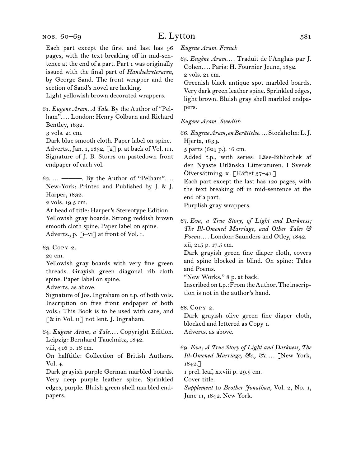# E. Lytton  $581$

Each part except the first and last has 96 pages, with the text breaking off in mid-sentence at the end of a part. Part 1 was originally issued with the final part of *Handsekreteraren,*  by George Sand. The front wrapper and the section of Sand's novel are lacking.

Light yellowish brown decorated wrappers.

61. *Eugene Aram. A Tale.* By the Author of "Pelham"*. . . .* London: Henry Colburn and Richard Bentley, 1832.

3 vols. 21 cm.

Dark blue smooth cloth. Paper label on spine. Adverts., Jan. 1, 1832, [2] p. at back of Vol. III. Signature of J. B. Storrs on pastedown front endpaper of each vol.

62. … ———. By the Author of "Pelham"*. . . .*  New-York: Printed and Published by J. & J. Harper, 1832.

2 vols. 19.5 cm.

At head of title: Harper's Stereotype Edition. Yellowish gray boards. Strong reddish brown smooth cloth spine. Paper label on spine. Adverts., p. [i–vi] at front of Vol. i.

63. Copy 2.

20 cm.

Yellowish gray boards with very fine green threads. Grayish green diagonal rib cloth spine. Paper label on spine.

Adverts. as above.

Signature of Jos. Ingraham on t.p. of both vols. Inscription on free front endpaper of both vols.: This Book is to be used with care, and [& in Vol. II] not lent. J. Ingraham.

64. *Eugene Aram, a Tale. . . .* Copyright Edition. Leipzig: Bernhard Tauchnitz, 1842.

viii, 416 p. 16 cm.

On halftitle: Collection of British Authors. Vol. 4.

Dark grayish purple German marbled boards. Very deep purple leather spine. Sprinkled edges, purple. Bluish green shell marbled endpapers.

*Eugene Aram. French*

65. *Eugène Aram. . . .* Traduit de l'Anglais par J. Cohen*. . . .* Paris: H. Fournier Jeune, 1832. 2 vols. 21 cm.

Greenish black antique spot marbled boards. Very dark green leather spine. Sprinkled edges, light brown. Bluish gray shell marbled endpapers.

# *Eugene Aram. Swedish*

66. *Eugene Aram, en Berättelse. . . .* Stockholm: L. J. Hjerta, 1834.

5 parts (624 p.). 16 cm.

Added t.p., with series: Läse-Bibliothek af den Nyaste Utlänska Litteraturen. I Svensk Öfversättning. x. [Häftet  $37-41$ .]

Each part except the last has 120 pages, with the text breaking off in mid-sentence at the end of a part.

Purplish gray wrappers.

67. *Eva, a True Story, of Light and Darkness; The Ill-Omened Marriage, and Other Tales & Poems. . . .* London: Saunders and Otley, 1842. xii, 215 p. 17.5 cm.

Dark grayish green fine diaper cloth, covers and spine blocked in blind. On spine: Tales and Poems.

"New Works," 8 p. at back.

Inscribed on t.p.: From the Author. The inscription is not in the author's hand.

68. Copy 2.

Dark grayish olive green fine diaper cloth, blocked and lettered as Copy 1. Adverts. as above.

69. *Eva; A True Story of Light and Darkness, The Ill-Omened Marriage, &c., &c. . . .* [New York, 1842.]

1 prel. leaf, xxviii p. 29.5 cm.

Cover title.

*Supplement* to *Brother Jonathan,* Vol. 2, No. 1, June 11, 1842. New York.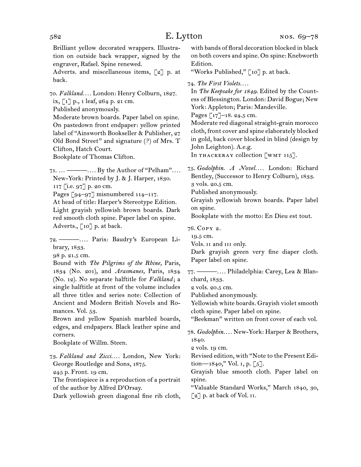| 582                                                                                                                                                                                                                                                                                                                                                                                                        | E. Lytton                                                                                                                                | NOS. $69-78$                                                                                                                                                                                                                                                                                |
|------------------------------------------------------------------------------------------------------------------------------------------------------------------------------------------------------------------------------------------------------------------------------------------------------------------------------------------------------------------------------------------------------------|------------------------------------------------------------------------------------------------------------------------------------------|---------------------------------------------------------------------------------------------------------------------------------------------------------------------------------------------------------------------------------------------------------------------------------------------|
| Brilliant yellow decorated wrappers. Illustra-<br>tion on outside back wrapper, signed by the<br>engraver, Rafael. Spine renewed.<br>Adverts. and miscellaneous items, [2] p. at                                                                                                                                                                                                                           | Edition.<br>"Works Published," [10] p. at back.                                                                                          | with bands of floral decoration blocked in black<br>on both covers and spine. On spine: Knebworth                                                                                                                                                                                           |
| back.<br>70. Falkland London: Henry Colburn, 1827.<br>ix, [1] p., 1 leaf, 264 p. 21 cm.<br>Published anonymously.<br>Moderate brown boards. Paper label on spine.<br>On pastedown front endpaper: yellow printed<br>label of "Ainsworth Bookseller & Publisher, 27<br>Old Bond Street" and signature (?) of Mrs. T<br>Clifton, Hatch Court.<br>Bookplate of Thomas Clifton.                                | 74. The First Violets<br>York: Appleton; Paris: Mandeville.<br>Pages [17]-18. 24.5 cm.<br>John Leighton). A.e.g.                         | In The Keepsake for 1849. Edited by the Count-<br>ess of Blessington. London: David Bogue; New<br>Moderate red diagonal straight-grain morocco<br>cloth, front cover and spine elaborately blocked<br>in gold, back cover blocked in blind (design by<br>In THACKERAY collection [WMT 115]. |
| 71. ————…. By the Author of "Pelham"….<br>New-York: Printed by J. & J. Harper, 1830.<br>117 [i.e. 97] p. 20 cm.<br>Pages [94-97] misnumbered 114-117.<br>At head of title: Harper's Stereotype Edition.<br>Light grayish yellowish brown boards. Dark<br>red smooth cloth spine. Paper label on spine.                                                                                                     | 3 vols. 20.5 cm.<br>Published anonymously.<br>on spine.                                                                                  | 75. Godolphin. A Novel London: Richard<br>Bentley, (Successor to Henry Colburn), 1833.<br>Grayish yellowish brown boards. Paper label<br>Bookplate with the motto: En Dieu est tout.                                                                                                        |
| Adverts., [10] p. at back.<br>72. — —  Paris: Baudry's European Li-<br>brary, 1833.<br>98 p. 21.5 cm.<br>Bound with The Pilgrims of the Rhine, Paris,<br>1834 (No. 201), and Arasmanes, Paris, 1834<br>(No. 12). No separate halftitle for Falkland; a<br>single halftitle at front of the volume includes<br>all three titles and series note: Collection of<br>Ancient and Modern British Novels and Ro- | 76. Сору 2.<br>19.5 cm.<br>Vols. II and III only.<br>Paper label on spine.<br>chard, 1833.<br>2 vols. 20.5 cm.<br>Published anonymously. | Dark grayish green very fine diaper cloth.<br>77. — —  Philadelphia: Carey, Lea & Blan-<br>Yellowish white boards. Grayish violet smooth                                                                                                                                                    |
| mances. Vol. 53.<br>Brown and yellow Spanish marbled boards,<br>edges, and endpapers. Black leather spine and<br>corners.<br>Bookplate of Willm. Steen.<br>73. Falkland and Zicci London, New York:<br>George Routledge and Sons, 1875.                                                                                                                                                                    | cloth spine. Paper label on spine.<br>1840.<br>2 vols. 19 cm.<br>tion—1840," Vol. 1, p. $[5]$ .                                          | "Beekman" written on front cover of each vol.<br>78. Godolphin New-York: Harper & Brothers,<br>Revised edition, with "Note to the Present Edi-                                                                                                                                              |
| 245 p. Front. 19 cm.<br>The frontispiece is a reproduction of a portrait<br>of the author by Alfred D'Orsay.                                                                                                                                                                                                                                                                                               | spine.                                                                                                                                   | Grayish blue smooth cloth. Paper label on<br>"Valuable Standard Works," March 1840, 30,                                                                                                                                                                                                     |

[2] p. at back of Vol. II.

Dark yellowish green diagonal fine rib cloth,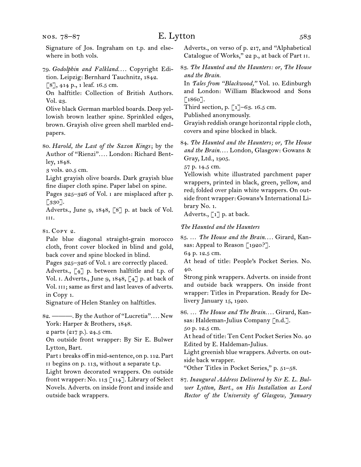nos. 78–87

79. *Godolphin and Falkland. . . .* Copyright Edition. Leipzig: Bernhard Tauchnitz, 1842. [8], 414 p., 1 leaf. 16.5 cm.

On halftitle: Collection of British Authors. Vol. 23.

Olive black German marbled boards. Deep yellowish brown leather spine. Sprinkled edges, brown. Grayish olive green shell marbled endpapers.

80. *Harold, the Last of the Saxon Kings*; by the Author of "Rienzi"*. . . .* London: Richard Bentley, 1848.

3 vols. 20.5 cm.

Light grayish olive boards. Dark grayish blue fine diaper cloth spine. Paper label on spine.

Pages 325–326 of Vol. i are misplaced after p. [330].

Adverts., June 9, 1848, [8] p. at back of Vol. iii.

81. Copy 2.

Pale blue diagonal straight-grain morocco cloth, front cover blocked in blind and gold, back cover and spine blocked in blind.

Pages 325–326 of Vol. i are correctly placed.

Adverts., [4] p. between halftitle and t.p. of Vol. i. Adverts., June 9, 1848, [4] p. at back of Vol. III; same as first and last leaves of adverts. in Copy 1.

Signature of Helen Stanley on halftitles.

82. ———. By the Author of "Lucretia"*. . . .* New York: Harper & Brothers, 1848.

2 parts (217 p.). 24.5 cm.

On outside front wrapper: By Sir E. Bulwer Lytton, Bart.

Part I breaks off in mid-sentence, on p. 112. Part ii begins on p. 113, without a separate t.p.

Light brown decorated wrappers. On outside front wrapper: No. 113  $\lceil 114 \rceil$ . Library of Select Novels. Adverts. on inside front and inside and outside back wrappers.

Adverts., on verso of p. 217, and "Alphabetical Catalogue of Works," 22 p., at back of Part ii.

83. *The Haunted and the Haunters: or, The House and the Brain.*

In *Tales from "Blackwood,"* Vol. 10. Edinburgh and London: William Blackwood and Sons  $[1860]$ .

Third section, p.  $\lceil 1 \rceil$ –63. 16.5 cm.

Published anonymously.

Grayish reddish orange horizontal ripple cloth, covers and spine blocked in black.

84. *The Haunted and the Haunters; or, The House and the Brain. . . .* London, Glasgow: Gowans & Gray, Ltd., 1905.

57 p. 14.5 cm.

Yellowish white illustrated parchment paper wrappers, printed in black, green, yellow, and red; folded over plain white wrappers. On outside front wrapper: Gowans's International Library No. 1.

Adverts.,  $\lceil 1 \rceil$  p. at back.

### *The Haunted and the Haunters*

85. … *The House and the Brain. . . .* Girard, Kansas: Appeal to Reason [1920?].

64 p. 12.5 cm.

At head of title: People's Pocket Series. No. 40.

Strong pink wrappers. Adverts. on inside front and outside back wrappers. On inside front wrapper: Titles in Preparation. Ready for Delivery January 15, 1920.

86. … *The House and The Brain. . . .* Girard, Kansas: Haldeman-Julius Company [n.d.]. 50 p. 12.5 cm.

At head of title: Ten Cent Pocket Series No. 40 Edited by E. Haldeman-Julius.

Light greenish blue wrappers. Adverts. on outside back wrapper.

"Other Titles in Pocket Series," p. 51–58.

87. *Inaugural Address Delivered by Sir E. L. Bulwer Lytton, Bart., on His Installation as Lord Rector of the University of Glasgow, January*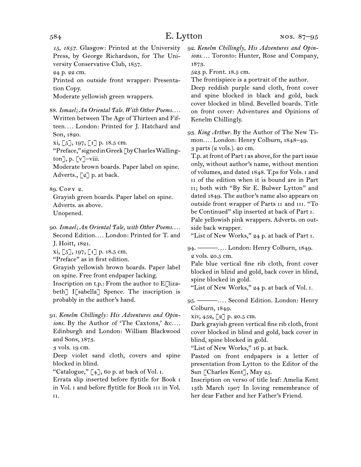*15, 1857.* Glasgow: Printed at the University Press, by George Richardson, for The University Conservative Club, 1857.

24 p. 22 cm.

Printed on outside front wrapper: Presentation Copy.

Moderate yellowish green wrappers.

88. *Ismael; An Oriental Tale. With Other Poems. . . .* Written between The Age of Thirteen and Fifteen*. . . .* London: Printed for J. Hatchard and Son, 1820.

xi, [5], 197, [1] p. 18.5 cm.

"Preface," signed in Greek [by Charles Walling- $\lbrack \text{ton} \rbrack$ , p.  $\lbrack \lbrack \text{v} \rbrack$ -viii.

Moderate brown boards. Paper label on spine. Adverts., [2] p. at back.

89. Copy 2.

Grayish green boards. Paper label on spine. Adverts. as above.

Unopened.

90. *Ismael; An Oriental Tale, with Other Poems. . . .* Second Edition*. . . .* London: Printed for T. and J. Hoitt, 1821.

xi, [5], 197, [1] p. 18.5 cm.

"Preface" as in first edition.

Grayish yellowish brown boards. Paper label on spine. Free front endpaper lacking. Inscription on t.p.: From the author to  $E$ [lizabeth] I[sabella] Spence. The inscription is probably in the author's hand.

91. *Kenelm Chillingly: His Adventures and Opinions.* By the Author of 'The Caxtons,' &c*. . . .* Edinburgh and London: William Blackwood and Sons, 1873.

3 vols. 19 cm.

Deep violet sand cloth, covers and spine blocked in blind.

"Catalogue,"  $\lceil 4 \rceil$ , 60 p. at back of Vol. I.

Errata slip inserted before flytitle for Book i in Vol. i and before flytitle for Book iii in Vol. ii.

92. *Kenelm Chillingly, His Adventures and Opinions. . . .* Toronto: Hunter, Rose and Company, 1873.

523 p. Front. 18.5 cm.

The frontispiece is a portrait of the author.

Deep reddish purple sand cloth, front cover and spine blocked in black and gold, back cover blocked in blind. Bevelled boards. Title on front cover: Adventures and Opinions of Kenelm Chillingly.

93. *King Arthur.* By the Author of The New Timon*. . . .* London: Henry Colburn, 1848–49. 3 parts (2 vols.). 20 cm.

T.p. at front of Part i as above, for the part issue only, without author's name, without mention of volumes, and dated 1848. T.ps for Vols. i and ii of the edition when it is bound are in Part ii; both with "By Sir E. Bulwer Lytton" and dated 1849. The author's name also appears on outside front wrapper of Parts ii and iii. "To be Continued" slip inserted at back of Part i. Pale yellowish pink wrappers. Adverts. on out-

"List of New Works," 24 p. at back of Part i.

94. ———*. . . .* London: Henry Colburn, 1849. 2 vols. 20.5 cm.

Pale blue vertical fine rib cloth, front cover blocked in blind and gold, back cover in blind, spine blocked in gold.

"List of New Works," 24 p. at back of Vol. i.

95. ———*. . . .* Second Edition. London: Henry Colburn, 1849.

xiv, 452,  $[2]$  p. 20.5 cm.

side back wrapper.

Dark grayish green vertical fine rib cloth, front cover blocked in blind and gold, back cover in blind, spine blocked in gold.

"List of New Works," 16 p. at back.

Pasted on front endpapers is a letter of presentation from Lytton to the Editor of the Sun [Charles Kent], May 25.

Inscription on verso of title leaf: Amelia Kent 13th March 1907 In loving remembrance of her dear Father and her Father's Friend.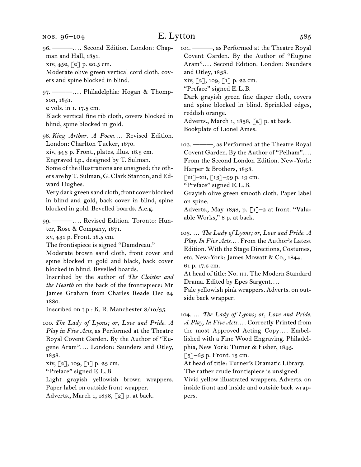# E. Lytton 585

96. ———*. . . .* Second Edition. London: Chapman and Hall, 1851.

xiv, 452, [2] p. 20.5 cm.

Moderate olive green vertical cord cloth, covers and spine blocked in blind.

97. ———*. . . .* Philadelphia: Hogan & Thompson, 1851.

2 vols. in 1. 17.5 cm.

Black vertical fine rib cloth, covers blocked in blind, spine blocked in gold.

98. *King Arthur. A Poem...*. Revised Edition. London: Charlton Tucker, 1870.

xiv, 443 p. Front., plates, illus. 18.5 cm.

Engraved t.p., designed by T. Sulman.

Some of the illustrations are unsigned; the others are by T. Sulman, G. Clark Stanton, and Edward Hughes.

Very dark green sand cloth, front cover blocked in blind and gold, back cover in blind, spine blocked in gold. Bevelled boards. A.e.g.

99. ———*. . . .* Revised Edition. Toronto: Hunter, Rose & Company, 1871.

xv, 431 p. Front. 18.5 cm.

The frontispiece is signed "Damdreau."

Moderate brown sand cloth, front cover and spine blocked in gold and black, back cover blocked in blind. Bevelled boards.

Inscribed by the author of *The Cloister and the Hearth* on the back of the frontispiece: Mr James Graham from Charles Reade Dec 24 1880.

Inscribed on t.p.: K. R. Manchester 8/10/35.

100. *The Lady of Lyons; or, Love and Pride. A Play in Five Acts*, as Performed at the Theatre Royal Covent Garden. By the Author of "Eugene Aram"*. . . .* London: Saunders and Otley, 1838.

 $xiv, [2], 109, [1]$  p. 23 cm.

"Preface" signed E.L.B.

Light grayish yellowish brown wrappers. Paper label on outside front wrapper.

Adverts., March 1, 1838, [2] p. at back.

101. ———, as Performed at the Theatre Royal Covent Garden. By the Author of "Eugene Aram"*. . . .* Second Edition. London: Saunders and Otley, 1838.

xiv, [2], 109, [1] p. 22 cm.

"Preface" signed E.L.B.

Dark grayish green fine diaper cloth, covers and spine blocked in blind. Sprinkled edges, reddish orange.

Adverts., March 1, 1838, [2] p. at back. Bookplate of Lionel Ames.

102. ———, as Performed at the Theatre Royal Covent Garden. By the Author of "Pelham"*. . . .* From the Second London Edition. New-York: Harper & Brothers, 1838.

 $[iii]$ –xii,  $[13]$ –99 p. 19 cm.

"Preface" signed E.L.B.

Grayish olive green smooth cloth. Paper label on spine.

Adverts., May 1838, p. [1]–2 at front. "Valuable Works," 8 p. at back.

103. … *The Lady of Lyons; or, Love and Pride. A Play. In Five Acts. . . .* From the Author's Latest Edition. With the Stage Directions, Costumes, etc. New-York: James Mowatt & Co., 1844. 61 p. 17.5 cm.

At head of title: No. III. The Modern Standard Drama. Edited by Epes Sargent*. . . .*

Pale yellowish pink wrappers. Adverts. on outside back wrapper.

104. … *The Lady of Lyons; or, Love and Pride. A Play, In Five Acts. . . .* Correctly Printed from the most Approved Acting Copy*. . . .* Embellished with a Fine Wood Engraving. Philadelphia, New York: Turner & Fisher, 1845.

 $\lceil 5 \rceil$ –63 p. Front. 15 cm.

At head of title: Turner's Dramatic Library. The rather crude frontispiece is unsigned. Vivid yellow illustrated wrappers. Adverts. on inside front and inside and outside back wrappers.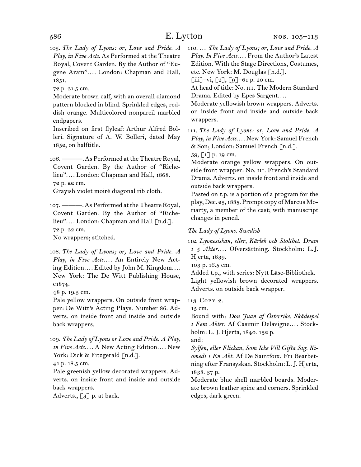105. *The Lady of Lyons: or, Love and Pride. A Play, in Five Acts.* As Performed at the Theatre Royal, Covent Garden. By the Author of "Eugene Aram"*. . . .* London: Chapman and Hall, 1851.

72 p. 21.5 cm.

Moderate brown calf, with an overall diamond pattern blocked in blind. Sprinkled edges, reddish orange. Multicolored nonpareil marbled endpapers.

Inscribed on first flyleaf: Arthur Alfred Bolleri. Signature of A. W. Bolleri, dated May 1852, on halftitle.

106. ———. As Performed at the Theatre Royal, Covent Garden. By the Author of "Richelieu"*. . . .* London: Chapman and Hall, 1868. 72 p. 22 cm.

Grayish violet moiré diagonal rib cloth.

107. ———. As Performed at the Theatre Royal, Covent Garden. By the Author of "Richelieu"*. . . .* London: Chapman and Hall [n.d.]. 72 p. 22 cm.

No wrappers; stitched.

108. *The Lady of Lyons; or, Love and Pride. A Play, in Five Acts. . . .* An Entirely New Acting Edition*. . . .* Edited by John M. Kingdom*. . . .* New York: The De Witt Publishing House, c1874.

48 p. 19.5 cm.

Pale yellow wrappers. On outside front wrapper: De Witt's Acting Plays. Number 86. Adverts. on inside front and inside and outside back wrappers.

109. *The Lady of Lyons or Love and Pride. A Play, in Five Acts. . . .* A New Acting Edition*. . . .* New York: Dick & Fitzgerald [n.d.].

41 p. 18.5 cm.

Pale greenish yellow decorated wrappers. Adverts. on inside front and inside and outside back wrappers.

Adverts.,  $\lceil 3 \rceil$  p. at back.

110. … *The Lady of Lyons; or, Love and Pride. A Play. In Five Acts. . . .* From the Author's Latest Edition. With the Stage Directions, Costumes, etc. New York: M. Douglas [n.d.].

 $\lceil$ iii]–vi,  $\lceil 2 \rceil$ ,  $\lceil 9 \rceil$ –61 p. 20 cm.

At head of title: No. III. The Modern Standard Drama. Edited by Epes Sargent*. . . .*

Moderate yellowish brown wrappers. Adverts. on inside front and inside and outside back wrappers.

111. *The Lady of Lyons: or, Love and Pride. A Play, in Five Acts. . . .* New York: Samuel French & Son; London: Samuel French [n.d.].

59, [1] p. 19 cm.

Moderate orange yellow wrappers. On outside front wrapper: No. III. French's Standard Drama. Adverts. on inside front and inside and outside back wrappers.

Pasted on t.p. is a portion of a program for the play, Dec. 25, 1885. Prompt copy of Marcus Moriarty, a member of the cast; with manuscript changes in pencil.

*The Lady of Lyons. Swedish*

112. *Lyonesiskan, eller, Kärlek och Stolthet. Dram i 5 Akter. . . .* Ofversättning. Stockholm: L.J. Hjerta, 1839.

103 p. 16.5 cm.

Added t.p., with series: Nytt Läse-Bibliothek. Light yellowish brown decorated wrappers. Adverts. on outside back wrapper.

113. Copy 2.

15 cm.

Bound with: *Don Juan af Österrike. Skådespel i Fem Akter.* Af Casimir Delavigne*. . . .* Stockholm: L. J. Hjerta, 1840. 132 p.

and:

*Sylfen, eller Flickan, Som Icke Vill Gifta Sig. Kiomedi i En Akt.* Af De Saintfoix. Fri Bearbetning efter Fransyskan. Stockholm: L. J. Hjerta, 1838. 37 p.

Moderate blue shell marbled boards. Moderate brown leather spine and corners. Sprinkled edges, dark green.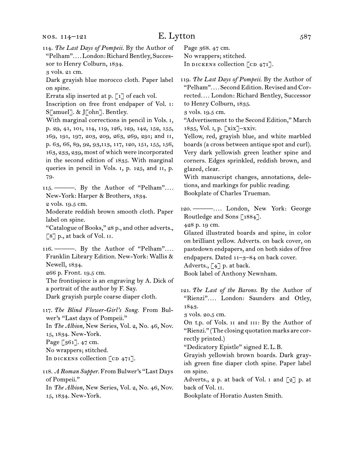# E. Lytton 587

114. *The Last Days of Pompeii.* By the Author of "Pelham"*. . . .* London: Richard Bentley, Successor to Henry Colburn, 1834. 3 vols. 21 cm. Dark grayish blue morocco cloth. Paper label on spine. Errata slip inserted at p.  $\lceil 1 \rceil$  of each vol. Inscription on free front endpaper of Vol. i: S[amuel]. & J[ohn]. Bentley. With marginal corrections in pencil in Vols. 1, p. 29, 41, 101, 114, 119, 126, 129, 142, 152, 155, 169, 191, 197, 203, 209, 263, 269, 291; and ii, p. 63, 66, 89, 92, 93,113, 117, 120, 151, 155, 156, 163, 233, 239, most of which were incorporated in the second edition of 1835. With marginal queries in pencil in Vols. i, p. 125, and ii, p. 79. 115. ———. By the Author of "Pelham"*. . . .* New-York: Harper & Brothers, 1834. 2 vols. 19.5 cm. Moderate reddish brown smooth cloth. Paper label on spine. "Catalogue of Books," 28 p., and other adverts., [8] p., at back of Vol. II. 116. ———. By the Author of "Pelham"*. . . .* Franklin Library Edition. New-York: Wallis & Newell, 1834. 266 p. Front. 19.5 cm.

The frontispiece is an engraving by A. Dick of a portrait of the author by F. Say. Dark grayish purple coarse diaper cloth.

- 117. *The Blind Flower-Girl's Song.* From Bulwer's "Last days of Pompeii." In *The Albion,* New Series, Vol. 2, No. 46, Nov. 15, 1834. New-York. Page [361]. 47 cm. No wrappers; stitched. In DICKENS collection  $[CD 471]$ .
- 118. *A Roman Supper.* From Bulwer's "Last Days of Pompeii." In *The Albion,* New Series, Vol. 2, No. 46, Nov. 15, 1834. New-York.

Page 368. 47 cm. No wrappers; stitched. In DICKENS collection  $[CD 471]$ .

119. *The Last Days of Pompeii.* By the Author of "Pelham"*. . . .* Second Edition. Revised and Corrected*. . . .* London: Richard Bentley, Successor to Henry Colburn, 1835.

3 vols. 19.5 cm.

"Advertisement to the Second Edition," March 1835, Vol. i, p. [xix]–xxiv.

Yellow, red, grayish blue, and white marbled boards (a cross between antique spot and curl). Very dark yellowish green leather spine and corners. Edges sprinkled, reddish brown, and glazed, clear.

With manuscript changes, annotations, deletions, and markings for public reading. Bookplate of Charles Trueman.

120. ———*. . . .* London, New York: George Routledge and Sons [1884].

428 p. 19 cm.

Glazed illustrated boards and spine, in color on brilliant yellow. Adverts. on back cover, on pastedown endpapers, and on both sides of free endpapers. Dated 11–3–84 on back cover.

Adverts., [4] p. at back.

Book label of Anthony Newnham.

121. *The Last of the Barons.* By the Author of "Rienzi"*. . . .* London: Saunders and Otley, 1843.

3 vols. 20.5 cm.

On t.p. of Vols. ii and iii: By the Author of "Rienzi." (The closing quotation marks are correctly printed.)

"Dedicatory Epistle" signed E.L.B.

Grayish yellowish brown boards. Dark grayish green fine diaper cloth spine. Paper label on spine.

Adverts., 2 p. at back of Vol. i and [2] p. at back of Vol. ii.

Bookplate of Horatio Austen Smith.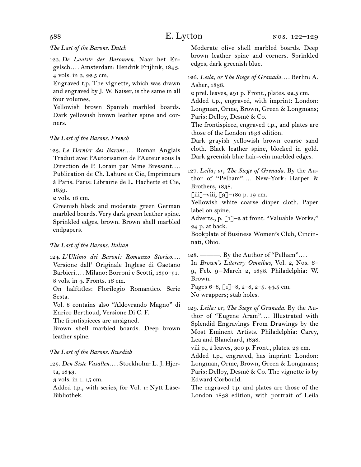# *The Last of the Barons. Dutch*

122. *De Laatste der Baronnen.* Naar het Engelsch*. . . .* Amsterdam: Hendrik Frijlink, 1843. 4 vols. in 2. 22.5 cm.

Engraved t.p. The vignette, which was drawn and engraved by J. W. Kaiser, is the same in all four volumes.

Yellowish brown Spanish marbled boards. Dark yellowish brown leather spine and corners.

# *The Last of the Barons. French*

123. *Le Dernier des Barons....* Roman Anglais Traduit avec l'Autorisation de l'Auteur sous la Direction de P. Lorain par Mme Bressant*. . . .* Publication de Ch. Lahure et Cie, Imprimeurs à Paris. Paris: Librairie de L. Hachette et Cie, 1859.

2 vols. 18 cm.

Greenish black and moderate green German marbled boards. Very dark green leather spine. Sprinkled edges, brown. Brown shell marbled endpapers.

# *The Last of the Barons. Italian*

124. *L'Ultimo dei Baroni: Romanzo Storico. . . .* Versione dall' Originale Inglese di Gaetano Barbieri*. . . .* Milano: Borroni e Scotti, 1850–51. 8 vols. in 4. Fronts. 16 cm.

On halftitles: Florilegio Romantico. Serie Sesta.

Vol. 8 contains also "Aldovrando Magno" di Enrico Berthoud, Versione Di C. F.

The frontispieces are unsigned.

Brown shell marbled boards. Deep brown leather spine.

### *The Last of the Barons. Swedish*

125. *Den Siste Vasallen. . . .* Stockholm: L. J. Hjerta, 1843.

3 vols. in 1. 15 cm.

Added t.p., with series, for Vol. 1: Nytt Läse-Bibliothek.

Moderate olive shell marbled boards. Deep brown leather spine and corners. Sprinkled edges, dark greenish blue.

126. *Leila, or The Siege of Granada. . . .* Berlin: A. Asher, 1838.

2 prel. leaves, 291 p. Front., plates. 22.5 cm.

Added t.p., engraved, with imprint: London: Longman, Orme, Brown, Green & Longmans; Paris: Delloy, Desmé & Co.

The frontispiece, engraved t.p., and plates are those of the London 1838 edition.

Dark grayish yellowish brown coarse sand cloth. Black leather spine, blocked in gold. Dark greenish blue hair-vein marbled edges.

127. *Leila; or, The Siege of Grenada.* By the Author of "Pelham"*. . . .* New-York: Harper & Brothers, 1838.

 $\lceil$ iii]–viii,  $\lceil 9 \rceil$ –180 p. 19 cm.

Yellowish white coarse diaper cloth. Paper label on spine.

Adverts., p. [1]-2 at front. "Valuable Works," 24 p. at back.

Bookplate of Business Women's Club, Cincinnati, Ohio.

128. ———. By the Author of "Pelham"*. . . .*

In *Brown's Literary Omnibus,* Vol. 2, Nos. 6– 9, Feb. 9–March 2, 1838. Philadelphia: W. Brown.

Pages 6–8, [1]–8, 2–8, 2–5. 44.5 cm. No wrappers; stab holes.

129. *Leila: or, The Siege of Granada.* By the Author of "Eugene Aram"*. . . .* Illustrated with Splendid Engravings From Drawings by the Most Eminent Artists. Philadelphia: Carey, Lea and Blanchard, 1838.

viii p., 2 leaves, 300 p. Front., plates. 23 cm.

Added t.p., engraved, has imprint: London: Longman, Orme, Brown, Green & Longmans; Paris: Delloy, Desmé & Co. The vignette is by Edward Corbould.

The engraved t.p. and plates are those of the London 1838 edition, with portrait of Leila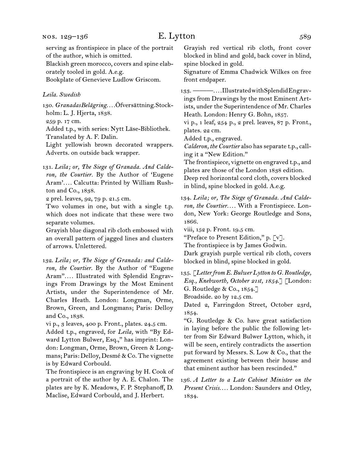# E. Lytton 589

serving as frontispiece in place of the portrait of the author, which is omitted.

Blackish green morocco, covers and spine elaborately tooled in gold. A.e.g.

Bookplate of Genevieve Ludlow Griscom.

### *Leila. Swedish*

130. *Granadas Belägring. . . .* Öfversättning. Stockholm: L. J. Hjerta, 1838.

259 p. 17 cm.

Added t.p., with series: Nytt Läse-Bibliothek. Translated by A. F. Dalin.

Light yellowish brown decorated wrappers. Adverts. on outside back wrapper.

131. *Leila; or, The Siege of Granada. And Calderon, the Courtier.* By the Author of 'Eugene Aram'*. . . .* Calcutta: Printed by William Rushton and Co., 1838.

2 prel. leaves, 92, 79 p. 21.5 cm.

Two volumes in one, but with a single t.p. which does not indicate that these were two separate volumes.

Grayish blue diagonal rib cloth embossed with an overall pattern of jagged lines and clusters of arrows. Unlettered.

132. *Leila; or, The Siege of Granada: and Calderon, the Courtier.* By the Author of "Eugene Aram"*. . . .* Illustrated with Splendid Engravings From Drawings by the Most Eminent Artists, under the Superintendence of Mr. Charles Heath. London: Longman, Orme, Brown, Green, and Longmans; Paris: Delloy and Co., 1838.

vi p., 3 leaves, 400 p. Front., plates. 24.5 cm. Added t.p., engraved, for *Leila,* with "By Edward Lytton Bulwer, Esq.," has imprint: London: Longman, Orme, Brown, Green & Longmans; Paris: Delloy, Desmé & Co. The vignette is by Edward Corbould.

The frontispiece is an engraving by H. Cook of a portrait of the author by A. E. Chalon. The plates are by K. Meadows, F. P. Stephanoff, D. Maclise, Edward Corbould, and J. Herbert.

Grayish red vertical rib cloth, front cover blocked in blind and gold, back cover in blind, spine blocked in gold.

Signature of Emma Chadwick Wilkes on free front endpaper.

133. ———*. . . .* Illustrated with Splendid Engravings from Drawings by the most Eminent Artists, under the Superintendence of Mr. Charles Heath. London: Henry G. Bohn, 1857.

vi p., 1 leaf, 254 p., 2 prel. leaves, 87 p. Front., plates. 22 cm.

Added t.p., engraved.

*Calderon, the Courtier* also has separate t.p., calling it a "New Edition."

The frontispiece, vignette on engraved t.p., and plates are those of the London 1838 edition.

Deep red horizontal cord cloth, covers blocked in blind, spine blocked in gold. A.e.g.

134. *Leila; or, The Siege of Granada. And Calderon, the Courtier. . . .* With a Frontispiece. London, New York: George Routledge and Sons, 1866.

viii, 152 p. Front. 19.5 cm.

"Preface to Present Edition," p. [v].

The frontispiece is by James Godwin.

Dark grayish purple vertical rib cloth, covers blocked in blind, spine blocked in gold.

135. *[Letter from E. Bulwer Lytton to G. Routledge, Esq., Knebworth, October 21st, 1854.]* [London: G. Routledge & Co., 1854.]

Broadside. 20 by 12.5 cm.

Dated 2, Farringdon Street, October 23rd, 1854.

"G. Routledge & Co. have great satisfaction in laying before the public the following letter from Sir Edward Bulwer Lytton, which, it will be seen, entirely contradicts the assertion put forward by Messrs. S. Low & Co., that the agreement existing between their house and that eminent author has been rescinded."

<sup>136.</sup> *A Letter to a Late Cabinet Minister on the Present Crisis. . . .* London: Saunders and Otley, 1834.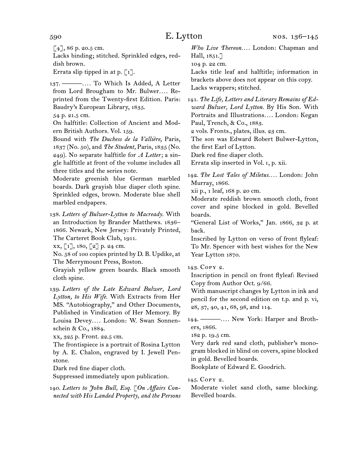$[4]$ , 86 p. 20.5 cm.

Lacks binding; stitched. Sprinkled edges, reddish brown.

Errata slip tipped in at p.  $\lceil 1 \rceil$ .

137. ———*. . . .* To Which Is Added, A Letter from Lord Brougham to Mr. Bulwer.... Reprinted from the Twenty-first Edition. Paris: Baudry's European Library, 1835.

54 p. 21.5 cm.

On halftitle: Collection of Ancient and Modern British Authors. Vol. 159.

Bound with *The Duchess de la Vallière*, Paris, 1837 (No. 50), and *The Student,* Paris, 1835 (No. 249). No separate halftitle for *A Letter;* a single halftitle at front of the volume includes all three titles and the series note.

Moderate greenish blue German marbled boards. Dark grayish blue diaper cloth spine. Sprinkled edges, brown. Moderate blue shell marbled endpapers.

138. *Letters of Bulwer-Lytton to Macready.* With an Introduction by Brander Matthews. 1836– 1866. Newark, New Jersey: Privately Printed, The Carteret Book Club, 1911.

xx, [1], 180, [2] p. 24 cm.

No. 58 of 100 copies printed by D. B. Updike, at The Merrymount Press, Boston.

Grayish yellow green boards. Black smooth cloth spine.

139. *Letters of the Late Edward Bulwer, Lord Lytton, to His Wife.* With Extracts from Her MS. "Autobiography," and Other Documents, Published in Vindication of Her Memory. By Louisa Devey*. . . .* London: W. Swan Sonnenschein & Co., 1884.

xx, 325 p. Front. 22.5 cm.

The frontispiece is a portrait of Rosina Lytton by A. E. Chalon, engraved by I. Jewell Penstone.

Dark red fine diaper cloth.

Suppressed immediately upon publication.

140. *Letters to John Bull, Esq. [On Affairs Connected with His Landed Property, and the Persons*  *Who Live Thereon. . . .* London: Chapman and Hall, 1851.

104 p. 22 cm.

Lacks title leaf and halftitle; information in brackets above does not appear on this copy. Lacks wrappers; stitched.

141. *The Life, Letters and Literary Remains of Edward Bulwer, Lord Lytton.* By His Son. With Portraits and Illustrations*. . . .* London: Kegan Paul, Trench, & Co., 1883.

2 vols. Fronts., plates, illus. 23 cm.

The son was Edward Robert Bulwer-Lytton,

the first Earl of Lytton.

Dark red fine diaper cloth.

Errata slip inserted in Vol. i, p. xii.

142. *The Lost Tales of Miletus. . . .* London: John Murray, 1866.

xii p., 1 leaf, 168 p. 20 cm.

Moderate reddish brown smooth cloth, front cover and spine blocked in gold. Bevelled boards.

"General List of Works," Jan. 1866, 32 p. at back.

Inscribed by Lytton on verso of front flyleaf: To Mr. Spencer with best wishes for the New Year Lytton 1870.

143. Copy 2.

Inscription in pencil on front flyleaf: Revised Copy from Author Oct. 9/66.

With manuscript changes by Lytton in ink and pencil for the second edition on t.p. and p. vi, 28, 37, 40, 41, 68, 98, and 114.

144. ———*. . . .* New York: Harper and Brothers, 1866.

182 p. 19.5 cm.

Very dark red sand cloth, publisher's monogram blocked in blind on covers, spine blocked in gold. Bevelled boards.

Bookplate of Edward E. Goodrich.

145. Copy 2.

Moderate violet sand cloth, same blocking. Bevelled boards.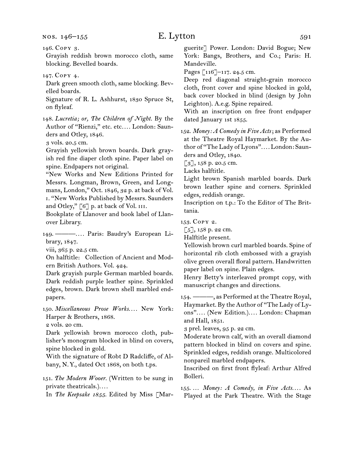nos. 146–155

Grayish reddish brown morocco cloth, same blocking. Bevelled boards.

147. Copy 4.

Dark green smooth cloth, same blocking. Bevelled boards.

Signature of R. L. Ashhurst, 1830 Spruce St, on flyleaf.

148. *Lucretia; or, The Children of Night.* By the Author of "Rienzi," etc. etc*. . . .* London: Saunders and Otley, 1846.

3 vols. 20.5 cm.

Grayish yellowish brown boards. Dark grayish red fine diaper cloth spine. Paper label on spine. Endpapers not original.

"New Works and New Editions Printed for Messrs. Longman, Brown, Green, and Longmans, London," Oct. 1846, 32 p. at back of Vol. i. "New Works Published by Messrs. Saunders and Otley," [6] p. at back of Vol. III.

Bookplate of Llanover and book label of Llanover Library.

149. ———*. . . .* Paris: Baudry's European Library, 1847.

viii, 365 p. 22.5 cm.

On halftitle: Collection of Ancient and Modern British Authors. Vol. 424.

Dark grayish purple German marbled boards. Dark reddish purple leather spine. Sprinkled edges, brown. Dark brown shell marbled endpapers.

150. *Miscellaneous Prose Works. . . .* New York: Harper & Brothers, 1868.

2 vols. 20 cm.

Dark yellowish brown morocco cloth, publisher's monogram blocked in blind on covers, spine blocked in gold.

With the signature of Robt D Radcliffe, of Albany, N.Y., dated Oct 1868, on both t.ps.

151. *The Modern Wooer.* (Written to be sung in private theatricals.)*. . . .*

In *The Keepsake 1855.* Edited by Miss [Mar-

guerite] Power. London: David Bogue; New York: Bangs, Brothers, and Co.; Paris: H. Mandeville.

Pages [116]–117. 24.5 cm.

Deep red diagonal straight-grain morocco cloth, front cover and spine blocked in gold, back cover blocked in blind (design by John Leighton). A.e.g. Spine repaired.

With an inscription on free front endpaper dated January 1st 1855.

152. *Money: A Comedy in Five Acts*; as Performed at the Theatre Royal Haymarket. By the Author of "The Lady of Lyons"*. . . .* London: Saunders and Otley, 1840.

[3], 158 p. 20.5 cm.

Lacks halftitle.

Light brown Spanish marbled boards. Dark brown leather spine and corners. Sprinkled edges, reddish orange.

Inscription on t.p.: To the Editor of The Brittania.

153. Copy 2.

[5], 158 p. 22 cm.

Halftitle present.

Yellowish brown curl marbled boards. Spine of horizontal rib cloth embossed with a grayish olive green overall floral pattern. Handwritten paper label on spine. Plain edges.

Henry Betty's interleaved prompt copy, with manuscript changes and directions.

154. ———, as Performed at the Theatre Royal, Haymarket. By the Author of "The Lady of Lyons"*. . . .* (New Edition.)*. . . .* London: Chapman and Hall, 1851.

3 prel. leaves, 95 p. 22 cm.

Moderate brown calf, with an overall diamond pattern blocked in blind on covers and spine. Sprinkled edges, reddish orange. Multicolored nonpareil marbled endpapers.

Inscribed on first front flyleaf: Arthur Alfred Bolleri.

155. … *Money: A Comedy, in Five Acts. . . .* As Played at the Park Theatre. With the Stage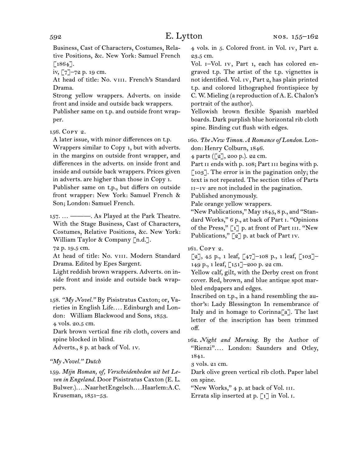Business, Cast of Characters, Costumes, Relative Positions, &c. New York: Samuel French  $[1864]$ .

iv, [7]–72 p. 19 cm.

At head of title: No. VIII. French's Standard Drama.

Strong yellow wrappers. Adverts. on inside front and inside and outside back wrappers.

Publisher same on t.p. and outside front wrapper.

156. Copy 2.

A later issue, with minor differences on t.p. Wrappers similar to Copy 1, but with adverts. in the margins on outside front wrapper, and differences in the adverts. on inside front and inside and outside back wrappers. Prices given in adverts. are higher than those in Copy 1. Publisher same on t.p., but differs on outside front wrapper: New York: Samuel French & Son; London: Samuel French.

157. ... ———. As Played at the Park Theatre. With the Stage Business, Cast of Characters, Costumes, Relative Positions, &c. New York: William Taylor & Company [n.d.].

72 p. 19.5 cm.

At head of title: No. VIII. Modern Standard Drama. Edited by Epes Sargent.

Light reddish brown wrappers. Adverts. on inside front and inside and outside back wrappers.

158. *"My Novel."* By Pisistratus Caxton; or, Varieties in English Life*. . . .* Edinburgh and London: William Blackwood and Sons, 1853. 4 vols. 20.5 cm.

Dark brown vertical fine rib cloth, covers and spine blocked in blind.

Adverts., 8 p. at back of Vol. iv.

# *"My Novel." Dutch*

159. *Mijn Roman, of, Verscheidenheden uit het Leven in Engeland.* Door Pisistratus Caxton (E. L. Bulwer.)*. . . .* Naar het Engelsch*. . . .* Haarlem: A. C. Kruseman, 1851–53.

4 vols. in 5. Colored front. in Vol. iv, Part 2. 23.5 cm.

Vol. i–Vol. iv, Part 1, each has colored engraved t.p. The artist of the t.p. vignettes is not identified. Vol. iv, Part 2, has plain printed t.p. and colored lithographed frontispiece by C. W. Mieling (a reproduction of A. E. Chalon's portrait of the author).

Yellowish brown flexible Spanish marbled boards. Dark purplish blue horizontal rib cloth spine. Binding cut flush with edges.

160. *The New Timon. A Romance of London.* London: Henry Colburn, 1846.

4 parts ([2], 200 p.). 22 cm.

Part II ends with p. 108; Part III begins with p. [103]. The error is in the pagination only; the text is not repeated. The section titles of Parts  $ii$ – $iv$  are not included in the pagination.

Published anonymously.

Pale orange yellow wrappers.

"New Publications," May 1845, 8 p., and "Standard Works," 6 p., at back of Part i. "Opinions of the Press," [1] p. at front of Part III. "New Publications,"  $[2]$  p. at back of Part Iv.

161. Copy 2.

 $\lceil 2 \rceil$ , 45 p., 1 leaf,  $\lceil 47 \rceil$ –108 p., 1 leaf,  $\lceil 103 \rceil$ – 149 p., 1 leaf, [151]–200 p. 22 cm.

Yellow calf, gilt, with the Derby crest on front cover. Red, brown, and blue antique spot marbled endpapers and edges.

Inscribed on t.p., in a hand resembling the author's: Lady Blessington In remembrance of Italy and in homage to Corinna<sup>[a]</sup>. The last letter of the inscription has been trimmed off.

162. *Night and Morning.* By the Author of "Rienzi"*. . . .* London: Saunders and Otley, 1841.

3 vols. 21 cm.

Dark olive green vertical rib cloth. Paper label on spine.

"New Works," 4 p. at back of Vol. III.

Errata slip inserted at p.  $\lceil 1 \rceil$  in Vol. 1.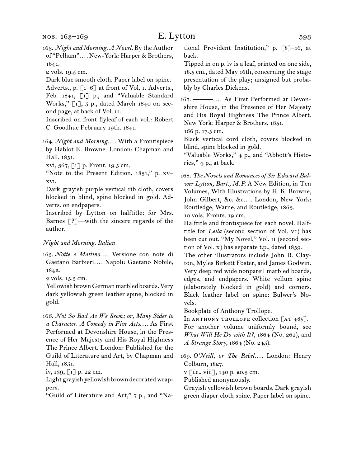163. *Night and Morning. A Novel.* By the Author of "Pelham"*. . . .* New-York: Harper & Brothers, 1841.

2 vols. 19.5 cm.

Dark blue smooth cloth. Paper label on spine. Adverts., p. [1–6] at front of Vol. i. Adverts., Feb. 1841, [1] p., and "Valuable Standard Works," [1], 5 p., dated March 1840 on second page, at back of Vol. ii.

Inscribed on front flyleaf of each vol.: Robert C. Goodhue February 19th. 1841.

164. *Night and Morning. . . .* With a Frontispiece by Hablot K. Browne. London: Chapman and Hall, 1851.

xvi, 367, [1] p. Front. 19.5 cm.

"Note to the Present Edition, 1851," p. xv– xvi.

Dark grayish purple vertical rib cloth, covers blocked in blind, spine blocked in gold. Adverts. on endpapers.

Inscribed by Lytton on halftitle: for Mrs. Barnes  $\lceil ? \rceil$ —with the sincere regards of the author.

### *Night and Morning. Italian*

165. *Notte e Mattino. . . .* Versione con note di Gaetano Barbieri*. . . .* Napoli: Gaetano Nobile, 1842.

2 vols. 15.5 cm.

Yellowish brown German marbled boards. Very dark yellowish green leather spine, blocked in gold.

166. *Not So Bad As We Seem; or, Many Sides to a Character. A Comedy in Five Acts. . . .* As First Performed at Devonshire House, in the Presence of Her Majesty and His Royal Highness The Prince Albert. London: Published for the Guild of Literature and Art, by Chapman and Hall, 1851.

iv, 139, [1] p. 22 cm.

Light grayish yellowish brown decorated wrappers.

"Guild of Literature and Art," 7 p., and "Na-

tional Provident Institution," p. [8]–16, at back.

Tipped in on p. iv is a leaf, printed on one side, 18.5 cm., dated May 16th, concerning the stage presentation of the play; unsigned but probably by Charles Dickens.

167. ———*. . . .* As First Performed at Devonshire House, in the Presence of Her Majesty and His Royal Highness The Prince Albert. New York: Harper & Brothers, 1851.

166 p. 17.5 cm.

Black vertical cord cloth, covers blocked in blind, spine blocked in gold.

"Valuable Works," 4 p., and "Abbott's Histories," 4 p., at back.

168. *The Novels and Romances of Sir Edward Bulwer Lytton, Bart., M.P.* A New Edition, in Ten Volumes, With Illustrations by H. K. Browne, John Gilbert, &c. &c*. . . .* London, New York: Routledge, Warne, and Routledge, 1863.

10 vols. Fronts. 19 cm.

Halftitle and frontispiece for each novel. Halftitle for *Leila* (second section of Vol. vi) has been cut out. "My Novel," Vol. ii (second section of Vol. x) has separate t.p., dated 1859.

The other illustrators include John R. Clayton, Myles Birkett Foster, and James Godwin. Very deep red wide nonpareil marbled boards, edges, and endpapers. White vellum spine (elaborately blocked in gold) and corners. Black leather label on spine: Bulwer's Novels.

Bookplate of Anthony Trollope.

In ANTHONY TROLLOPE collection  $[AT 485]$ . For another volume uniformly bound, see *What Will He Do with It?,* 1864 (No. 262), and *A Strange Story,* 1864 (No. 245).

169. *O'Neill, or The Rebel. . . .* London: Henry Colburn, 1827.

v [i.e., viii], 140 p. 20.5 cm.

Published anonymously.

Grayish yellowish brown boards. Dark grayish green diaper cloth spine. Paper label on spine.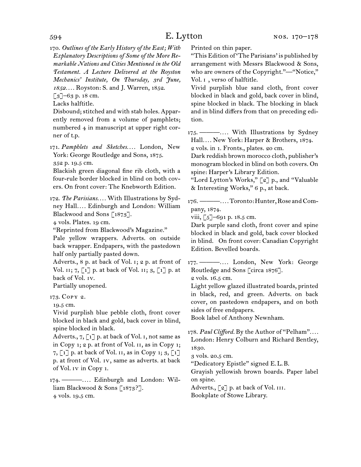170. *Outlines of the Early History of the East; With Explanatory Descriptions of Some of the More Remarkable Nations and Cities Mentioned in the Old Testament. A Lecture Delivered at the Royston Mechanics' Institute, On Thursday, 3rd June, 1852. . . .* Royston: S. and J. Warren, 1852.

 $\lceil 3 \rceil$ –63 p. 18 cm. Lacks halftitle.

Disbound; stitched and with stab holes. Apparently removed from a volume of pamphlets; numbered 4 in manuscript at upper right corner of t.p.

171. Pamphlets and Sketches.... London, New York: George Routledge and Sons, 1875.

352 p. 19.5 cm.

Blackish green diagonal fine rib cloth, with a four-rule border blocked in blind on both covers. On front cover: The Knebworth Edition.

172. *The Parisians. . . .* With Illustrations by Sydney Hall*. . . .* Edinburgh and London: William Blackwood and Sons [1873].

4 vols. Plates. 19 cm.

"Reprinted from Blackwood's Magazine."

Pale yellow wrappers. Adverts. on outside back wrapper. Endpapers, with the pastedown half only partially pasted down.

Adverts., 8 p. at back of Vol. i; 2 p. at front of Vol.  $\text{II}; 7, \lceil 1 \rceil$  p. at back of Vol.  $\text{II}; 3, \lceil 1 \rceil$  p. at back of Vol. iv.

Partially unopened.

173. Copy 2.

19.5 cm.

Vivid purplish blue pebble cloth, front cover blocked in black and gold, back cover in blind, spine blocked in black.

Adverts.,  $7, \lceil 1 \rceil$  p. at back of Vol. 1, not same as in Copy 1;  $2 p$ . at front of Vol.  $II$ , as in Copy 1; 7,  $\lceil 1 \rceil$  p. at back of Vol. 11, as in Copy 1; 3,  $\lceil 1 \rceil$ p. at front of Vol. iv, same as adverts. at back of Vol. iv in Copy 1.

174. ———*. . . .* Edinburgh and London: William Blackwood & Sons [1873?]. 4 vols. 19.5 cm.

Printed on thin paper.

"This Edition of 'The Parisians' is published by arrangement with Messrs Blackwood & Sons, who are owners of the Copyright."—"Notice," Vol. i , verso of halftitle.

Vivid purplish blue sand cloth, front cover blocked in black and gold, back cover in blind, spine blocked in black. The blocking in black and in blind differs from that on preceding edition.

175. ———*. . . .* With Illustrations by Sydney Hall*. . . .* New York: Harper & Brothers, 1874.

2 vols. in 1. Fronts., plates. 20 cm.

Dark reddish brown morocco cloth, publisher's monogram blocked in blind on both covers. On spine: Harper's Library Edition.

"Lord Lytton's Works," [2] p., and "Valuable & Interesting Works," 6 p., at back.

176. ———*. . . .* Toronto: Hunter, Rose and Company, 1874.

viii,  $\lceil 5 \rceil$ –691 p. 18.5 cm.

Dark purple sand cloth, front cover and spine blocked in black and gold, back cover blocked in blind. On front cover: Canadian Copyright Edition. Bevelled boards.

177. ———*. . . .* London, New York: George Routledge and Sons [circa 1876].

2 vols. 16.5 cm.

Light yellow glazed illustrated boards, printed in black, red, and green. Adverts. on back cover, on pastedown endpapers, and on both sides of free endpapers.

Book label of Anthony Newnham.

178. *Paul Clifford.* By the Author of "Pelham"*. . . .* London: Henry Colburn and Richard Bentley, 1830.

3 vols. 20.5 cm.

"Dedicatory Epistle" signed E.L.B.

Grayish yellowish brown boards. Paper label on spine.

Adverts., [2] p. at back of Vol. III.

Bookplate of Stowe Library.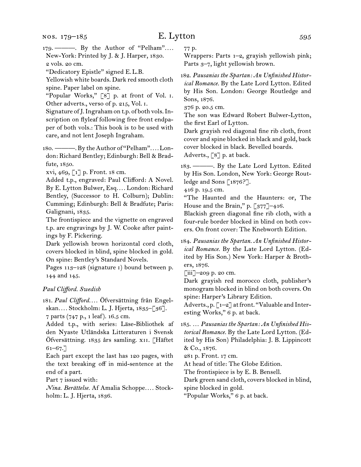179. ———. By the Author of "Pelham".... New-York: Printed by J. & J. Harper, 1830. 2 vols. 20 cm.

"Dedicatory Epistle" signed E.L.B.

Yellowish white boards. Dark red smooth cloth spine. Paper label on spine.

"Popular Works," [8] p. at front of Vol. i. Other adverts., verso of p. 215, Vol. i.

Signature of J. Ingraham on t.p. of both vols. Inscription on flyleaf following free front endpaper of both vols.: This book is to be used with care, and not lent Joseph Ingraham.

180. ———. By the Author of "Pelham"*. . . .* London: Richard Bentley; Edinburgh: Bell & Bradfute, 1850.

xvi, 469, [1] p. Front. 18 cm.

Added t.p., engraved: Paul Clifford: A Novel. By E. Lytton Bulwer, Esq*. . . .* London: Richard Bentley, (Successor to H. Colburn); Dublin: Cumming; Edinburgh: Bell & Bradfute; Paris: Galignani, 1835.

The frontispiece and the vignette on engraved t.p. are engravings by J. W. Cooke after paintings by F. Pickering.

Dark yellowish brown horizontal cord cloth, covers blocked in blind, spine blocked in gold. On spine: Bentley's Standard Novels.

Pages 113–128 (signature i) bound between p. 144 and 145.

### *Paul Clifford. Swedish*

181. *Paul Clifford. . . .* Öfversättning från Engelskan*. . . .* Stockholm: L. J. Hjerta, 1835–[36]. 7 parts (747 p., 1 leaf). 16.5 cm.

Added t.p., with series: Läse-Bibliothek af den Nyaste Utländska Litteraturen i Svensk Öfversättning. 1835 års samling. xii. [Häftet

 $61-67.$ ]

Each part except the last has 120 pages, with the text breaking off in mid-sentence at the end of a part.

Part 7 issued with:

*Nina. Berättelse.* Af Amalia Schoppe*. . . .* Stockholm: L. J. Hjerta, 1836.

77 p.

Wrappers: Parts 1–2, grayish yellowish pink; Parts 3–7, light yellowish brown.

182. *Pausanias the Spartan: An Unfinished Historical Romance.* By the Late Lord Lytton. Edited by His Son. London: George Routledge and Sons, 1876.

376 p. 20.5 cm.

The son was Edward Robert Bulwer-Lytton, the first Earl of Lytton.

Dark grayish red diagonal fine rib cloth, front cover and spine blocked in black and gold, back cover blocked in black. Bevelled boards.

Adverts., [8] p. at back.

183. ———. By the Late Lord Lytton. Edited by His Son. London, New York: George Routledge and Sons [1876?].

416 p. 19.5 cm.

"The Haunted and the Haunters: or, The House and the Brain," p. [377]-416.

Blackish green diagonal fine rib cloth, with a four-rule border blocked in blind on both covers. On front cover: The Knebworth Edition.

184. *Pausanias the Spartan. An Unfinished Historical Romance.* By the Late Lord Lytton. (Edited by His Son.) New York: Harper & Brothers, 1876.

[iii]–209 p. 20 cm.

Dark grayish red morocco cloth, publisher's monogram blocked in blind on both covers. On spine: Harper's Library Edition.

Adverts., p. [1–2] at front. "Valuable and Interesting Works," 6 p. at back.

185. … *Pausanias the Spartan: An Unfinished Historical Romance.* By the Late Lord Lytton. (Edited by His Son) Philadelphia: J. B. Lippincott & Co., 1876.

281 p. Front. 17 cm.

At head of title: The Globe Edition.

The frontispiece is by E. B. Bensell.

Dark green sand cloth, covers blocked in blind,

spine blocked in gold.

"Popular Works," 6 p. at back.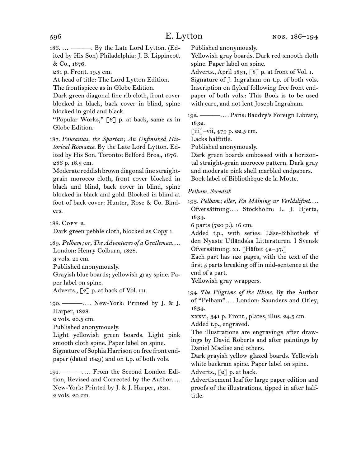186. … ———. By the Late Lord Lytton. (Edited by His Son) Philadelphia: J. B. Lippincott & Co., 1876.

281 p. Front. 19.5 cm.

At head of title: The Lord Lytton Edition.

The frontispiece as in Globe Edition.

Dark green diagonal fine rib cloth, front cover blocked in black, back cover in blind, spine blocked in gold and black.

"Popular Works," [6] p. at back, same as in Globe Edition.

187. *Pausanias, the Spartan; An Unfinished Historical Romance.* By the Late Lord Lytton. Edited by His Son. Toronto: Belford Bros., 1876. 286 p. 18.5 cm.

Moderate reddish brown diagonal fine straightgrain morocco cloth, front cover blocked in black and blind, back cover in blind, spine blocked in black and gold. Blocked in blind at foot of back cover: Hunter, Rose & Co. Binders.

188. Copy 2.

Dark green pebble cloth, blocked as Copy 1.

189. *Pelham; or, The Adventures of a Gentleman. . . .* London: Henry Colburn, 1828. 3 vols. 21 cm.

Published anonymously.

Grayish blue boards; yellowish gray spine. Paper label on spine.

Adverts., [2] p. at back of Vol. III.

190. ———*. . . .* New-York: Printed by J. & J. Harper, 1828.

2 vols. 20.5 cm.

Published anonymously.

Light yellowish green boards. Light pink smooth cloth spine. Paper label on spine. Signature of Sophia Harrison on free front endpaper (dated 1829) and on t.p. of both vols.

191. ———*. . . .* From the Second London Edition, Revised and Corrected by the Author*. . . .* New-York: Printed by J. & J. Harper, 1831. 2 vols. 20 cm.

Published anonymously.

Yellowish gray boards. Dark red smooth cloth spine. Paper label on spine.

Adverts., April 1831, [8] p. at front of Vol. I.

Signature of J. Ingraham on t.p. of both vols. Inscription on flyleaf following free front endpaper of both vols.: This Book is to be used with care, and not lent Joseph Ingraham.

192. ———*. . . .* Paris: Baudry's Foreign Library, 1832.

 $\lceil$ iii]–vii, 479 p. 22.5 cm.

Lacks halftitle.

Published anonymously.

Dark green boards embossed with a horizontal straight-grain morocco pattern. Dark gray and moderate pink shell marbled endpapers. Book label of Bibliothèque de la Motte.

# *Pelham. Swedish*

193. *Pelham; eller, En Målning ur Verldslifvet. . . .* Öfversättning*. . . .* Stockholm: L. J. Hjerta, 1834.

6 parts (720 p.). 16 cm.

Added t.p., with series: Läse-Bibliothek af den Nyaste Utländska Litteraturen. I Svensk Öfversättning. xi. [Häftet 42–47.]

Each part has 120 pages, with the text of the first 5 parts breaking off in mid-sentence at the end of a part.

Yellowish gray wrappers.

194. *The Pilgrims of the Rhine.* By the Author of "Pelham"*. . . .* London: Saunders and Otley, 1834.

xxxvi, 341 p. Front., plates, illus. 24.5 cm. Added t.p., engraved.

The illustrations are engravings after drawings by David Roberts and after paintings by Daniel Maclise and others.

Dark grayish yellow glazed boards. Yellowish white buckram spine. Paper label on spine.

Adverts.,  $\lceil 2 \rceil$  p. at back.

Advertisement leaf for large paper edition and proofs of the illustrations, tipped in after halftitle.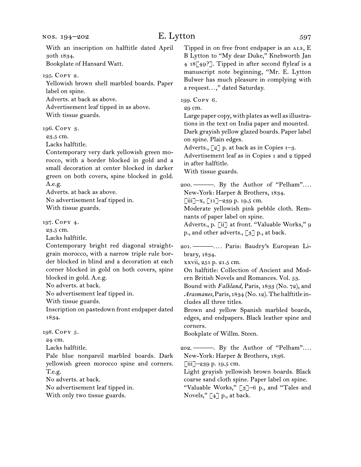# E. Lytton 597

With an inscription on halftitle dated April 30th 1834. Bookplate of Hansard Watt.

195. Copy 2.

Yellowish brown shell marbled boards. Paper label on spine. Adverts. at back as above. Advertisement leaf tipped in as above. With tissue guards.

196. Copy 3.

23.5 cm.

Lacks halftitle.

Contemporary very dark yellowish green morocco, with a border blocked in gold and a small decoration at center blocked in darker green on both covers, spine blocked in gold. A.e.g.

Adverts. at back as above. No advertisement leaf tipped in. With tissue guards.

197. Copy 4.

23.5 cm.

Lacks halftitle.

Contemporary bright red diagonal straightgrain morocco, with a narrow triple rule border blocked in blind and a decoration at each corner blocked in gold on both covers, spine blocked in gold. A.e.g.

No adverts. at back.

No advertisement leaf tipped in.

With tissue guards.

Inscription on pastedown front endpaper dated 1834.

198. Copy 5. 24 cm. Lacks halftitle. Pale blue nonpareil marbled boards. Dark yellowish green morocco spine and corners. T.e.g.

No adverts. at back.

No advertisement leaf tipped in.

With only two tissue guards.

Tipped in on free front endpaper is an ALS, E B Lytton to "My dear Duke," Knebworth Jan 4 18[49?]. Tipped in after second flyleaf is a manuscript note beginning, "Mr. E. Lytton Bulwer has much pleasure in complying with a request...," dated Saturday.

199. Copy 6.

29 cm.

Large paper copy, with plates as well as illustrations in the text on India paper and mounted. Dark grayish yellow glazed boards. Paper label on spine. Plain edges.

Adverts.,  $\lceil 2 \rceil$  p. at back as in Copies 1–3.

Advertisement leaf as in Copies 1 and 2 tipped in after halftitle.

With tissue guards.

200. ———. By the Author of "Pelham"*. . . .* New-York: Harper & Brothers, 1834.

 $\left[\begin{matrix} iii \end{matrix}\right]$  – x,  $\left[\begin{matrix} 11 \end{matrix}\right]$  – 239 p. 19.5 cm.

Moderate yellowish pink pebble cloth. Remnants of paper label on spine.

Adverts., p. [ii] at front. "Valuable Works," 9 p., and other adverts., [3] p., at back.

201. ———*. . . .* Paris: Baudry's European Library, 1834.

xxvii, 251 p. 21.5 cm.

On halftitle: Collection of Ancient and Modern British Novels and Romances. Vol. 53.

Bound with *Falkland,* Paris, 1833 (No. 72), and *Arasmanes,* Paris, 1834 (No. 12). The halftitle includes all three titles.

Brown and yellow Spanish marbled boards, edges, and endpapers. Black leather spine and corners.

Bookplate of Willm. Steen.

202. ———. By the Author of "Pelham"*. . . .* New-York: Harper & Brothers, 1836.

 $\lceil$ iii]–239 p. 19.5 cm.

Light grayish yellowish brown boards. Black coarse sand cloth spine. Paper label on spine. "Valuable Works," [3]–6 p., and "Tales and Novels," [4] p., at back.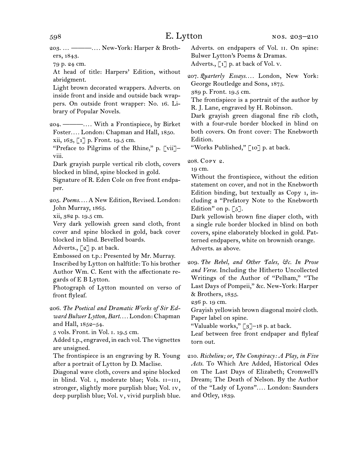203. … ———*. . . .* New-York: Harper & Brothers, 1843.

79 p. 24 cm.

At head of title: Harpers' Edition, without abridgment.

Light brown decorated wrappers. Adverts. on inside front and inside and outside back wrappers. On outside front wrapper: No. 16. Library of Popular Novels.

204. ———*. . . .* With a Frontispiece, by Birket Foster*. . . .* London: Chapman and Hall, 1850.

xii, 163, [1] p. Front. 19.5 cm.

"Preface to Pilgrims of the Rhine," p. [vii]– viii.

Dark grayish purple vertical rib cloth, covers blocked in blind, spine blocked in gold.

Signature of R. Eden Cole on free front endpaper.

205. *Poems. . . .* A New Edition, Revised. London: John Murray, 1865.

xii, 382 p. 19.5 cm.

Very dark yellowish green sand cloth, front cover and spine blocked in gold, back cover blocked in blind. Bevelled boards.

Adverts.,  $\lceil 2 \rceil$  p. at back.

Embossed on t.p.: Presented by Mr. Murray. Inscribed by Lytton on halftitle: To his brother Author Wm. C. Kent with the affectionate re-

gards of E B Lytton. Photograph of Lytton mounted on verso of front flyleaf.

206. *The Poetical and Dramatic Works of Sir Edward Bulwer Lytton, Bart. . . .* London: Chapman and Hall, 1852–54.

5 vols. Front. in Vol. i. 19.5 cm.

Added t.p., engraved, in each vol. The vignettes are unsigned.

The frontispiece is an engraving by R. Young after a portrait of Lytton by D. Maclise.

Diagonal wave cloth, covers and spine blocked in blind. Vol. I, moderate blue; Vols. II-III, stronger, slightly more purplish blue; Vol. iv, deep purplish blue; Vol. v, vivid purplish blue.

Adverts. on endpapers of Vol. ii. On spine: Bulwer Lytton's Poems & Dramas. Adverts.,  $\lceil 1 \rceil$  p. at back of Vol. v.

207. *Quarterly Essays. . . .* London, New York: George Routledge and Sons, 1875.

389 p. Front. 19.5 cm.

The frontispiece is a portrait of the author by R. J. Lane, engraved by H. Robinson.

Dark grayish green diagonal fine rib cloth, with a four-rule border blocked in blind on both covers. On front cover: The Knebworth Edition.

"Works Published," [10] p. at back.

208. Copy 2.

19 cm.

Without the frontispiece, without the edition statement on cover, and not in the Knebworth Edition binding, but textually as Copy 1, including a "Prefatory Note to the Knebworth Edition" on p.  $\lceil 5 \rceil$ .

Dark yellowish brown fine diaper cloth, with a single rule border blocked in blind on both covers, spine elaborately blocked in gold. Patterned endpapers, white on brownish orange. Adverts. as above.

209. *The Rebel, and Other Tales, &c. In Prose and Verse.* Including the Hitherto Uncollected Writings of the Author of "Pelham," "The Last Days of Pompeii," &c. New-York: Harper & Brothers, 1835.

236 p. 19 cm.

Grayish yellowish brown diagonal moiré cloth. Paper label on spine.

"Valuable works,"  $\lceil 3 \rceil$ –18 p. at back.

Leaf between free front endpaper and flyleaf torn out.

210. *Richelieu; or, The Conspiracy: A Play, in Five Acts.* To Which Are Added, Historical Odes on The Last Days of Elizabeth; Cromwell's Dream; The Death of Nelson. By the Author of the "Lady of Lyons"*. . . .* London: Saunders and Otley, 1839.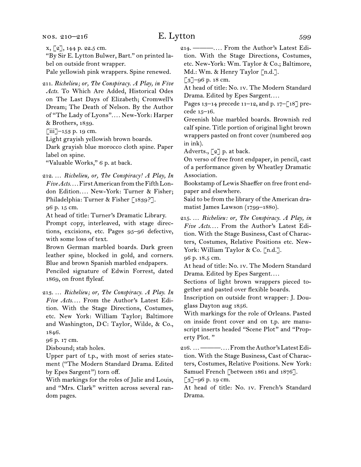"By Sir E. Lytton Bulwer, Bart." on printed label on outside front wrapper.

Pale yellowish pink wrappers. Spine renewed.

211. *Richelieu; or, The Conspiracy. A Play, in Five Acts.* To Which Are Added, Historical Odes on The Last Days of Elizabeth; Cromwell's Dream; The Death of Nelson. By the Author of "The Lady of Lyons"*. . . .* New-York: Harper & Brothers, 1839.

 $\lceil$ iii]–153 p. 19 cm.

Light grayish yellowish brown boards.

Dark grayish blue morocco cloth spine. Paper label on spine.

"Valuable Works," 6 p. at back.

212. … *Richelieu, or, The Conspiracy! A Play, In Five Acts. . . .* First American from the Fifth London Edition*. . . .* New-York: Turner & Fisher; Philadelphia: Turner & Fisher [1839?]. 96 p. 15 cm.

At head of title: Turner's Dramatic Library.

Prompt copy, interleaved, with stage directions, excisions, etc. Pages 95–96 defective, with some loss of text.

Brown German marbled boards. Dark green leather spine, blocked in gold, and corners. Blue and brown Spanish marbled endpapers.

Penciled signature of Edwin Forrest, dated 1869, on front flyleaf.

213. … *Richelieu; or, The Conspiracy. A Play. In Five Acts. . . .* From the Author's Latest Edition. With the Stage Directions, Costumes, etc. New York: William Taylor; Baltimore and Washington, DC: Taylor, Wilde, & Co., 1846.

96 p. 17 cm.

Disbound; stab holes.

Upper part of t.p., with most of series statement ("The Modern Standard Drama. Edited by Epes Sargent") torn off.

With markings for the roles of Julie and Louis, and "Mrs. Clark" written across several random pages.

214. ———*. . . .* From the Author's Latest Edition. With the Stage Directions, Costumes, etc. New-York: Wm. Taylor & Co.; Baltimore, Md.: Wm. & Henry Taylor [n.d.].

 $\lceil 3 \rceil$ –96 p. 18 cm.

At head of title: No. iv. The Modern Standard Drama. Edited by Epes Sargent*. . . .*

Pages 13–14 precede 11–12, and p. 17–[18] precede 15–16.

Greenish blue marbled boards. Brownish red calf spine. Title portion of original light brown wrappers pasted on front cover (numbered 209 in ink).

Adverts., [2] p. at back.

On verso of free front endpaper, in pencil, cast of a performance given by Wheatley Dramatic Association.

Bookstamp of Lewis Shaeffer on free front endpaper and elsewhere.

Said to be from the library of the American dramatist James Lawson (1799–1880).

215. … *Richelieu: or, The Conspiracy. A Play, in Five Acts. . . .* From the Author's Latest Edition. With the Stage Business, Cast of Characters, Costumes, Relative Positions etc. New-York: William Taylor & Co. [n.d.].

96 p. 18.5 cm.

At head of title: No. iv. The Modern Standard Drama. Edited by Epes Sargent*. . . .*

Sections of light brown wrappers pieced together and pasted over flexible boards.

Inscription on outside front wrapper: J. Douglass Dayton aug 1856.

With markings for the role of Orleans. Pasted on inside front cover and on t.p. are manuscript inserts headed "Scene Plot" and "Property Plot. "

216. … ———*. . . .* From the Author's Latest Edition. With the Stage Business, Cast of Characters, Costumes, Relative Positions. New York: Samuel French [between 1861 and 1876].

 $\lceil 3 \rceil$ –96 p. 19 cm.

At head of title: No. iv. French's Standard Drama.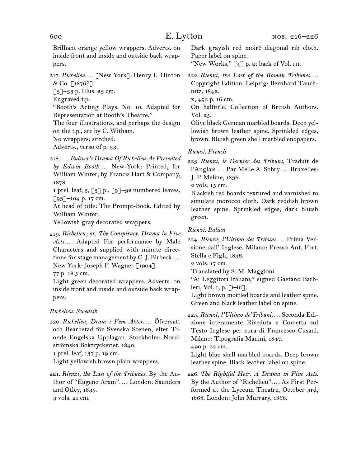Brilliant orange yellow wrappers. Adverts. on inside front and inside and outside back wrappers.

217. *Richelieu. . . .* [New York]: Henry L. Hinton & Co. [1876?].

 $\lceil 3 \rceil$ –33 p. Illus. 23 cm.

Engraved t.p.

"Booth's Acting Plays. No. 10. Adapted for Representation at Booth's Theatre."

The four illustrations, and perhaps the design on the t.p., are by C. Witham.

No wrappers; stitched.

Adverts., verso of p. 33.

218. … *Bulwer's Drama Of Richelieu As Presented by Edwin Booth. . . .* New-York: Printed, for William Winter, by Francis Hart & Company, 1878.

1 prel. leaf,  $5, \lfloor 3 \rfloor$  p.,  $\lfloor 9 \rfloor$ -92 numbered leaves,  $\lceil 93 \rceil$ –104 p. 17 cm.

At head of title: The Prompt-Book. Edited by William Winter.

Yellowish gray decorated wrappers.

219. *Richelieu; or, The Conspiracy. Drama in Five Acts. . . .* Adapted For performance by Male Characters and supplied with minute directions for stage management by C. J. Birbeck*. . . .* New York: Joseph F. Wagner [1904].

77 p. 18.5 cm.

Light green decorated wrappers. Adverts. on inside front and inside and outside back wrappers.

# *Richelieu. Swedish*

220. *Richelieu, Dram i Fem Akter. . . .* Öfversatt och Bearbetad för Svenska Scenen, efter Tionde Engelska Upplagan. Stockholm: Nordströmska Boktryckeriet, 1840.

1 prel. leaf, 137 p. 19 cm.

Light yellowish brown plain wrappers.

221. *Rienzi, the Last of the Tribunes.* By the Author of "Eugene Aram"*. . . .* London: Saunders and Otley, 1835. 3 vols. 21 cm.

Dark grayish red moiré diagonal rib cloth. Paper label on spine.

"New Works,"  $\lceil 4 \rceil$  p. at back of Vol. III.

222. Rienzi, the Last of the Roman Tribunes.... Copyright Edition. Leipzig: Bernhard Tauchnitz, 1842.

x, 492 p. 16 cm.

On halftitle: Collection of British Authors. Vol. 25.

Olive black German marbled boards. Deep yellowish brown leather spine. Sprinkled edges, brown. Bluish green shell marbled endpapers.

# *Rienzi. French*

223. *Rienzi, le Dernier des Tribuns*, Traduit de l'Anglais … Par Melle A. Sobry*. . . .* Bruxelles: J. P. Meline, 1836.

2 vols. 15 cm.

Blackish red boards textured and varnished to simulate morocco cloth. Dark reddish brown leather spine. Sprinkled edges, dark bluish green.

# *Rienzi. Italian*

224. *Rienzi, l'Ultimo dei Tribuni. . . .* Prima Versione dall' Inglese. Milano: Presso Ant. Fort. Stella e Figli, 1836.

2 vols. 17 cm.

Translated by S. M. Maggioni.

"Ai Leggitori Italiani," signed Gaetano Barbieri, Vol. i, p. [i–iii].

Light brown mottled boards and leather spine. Green and black leather label on spine.

225. *Rienzi, l'Ultimo de'Tribuni. . . .* Seconda Edizione interamente Riveduta e Corretta sul Testo Inglese per cura di Francesco Cusani. Milano: Tipografia Manini, 1847.

490 p. 22 cm.

Light blue shell marbled boards. Deep brown leather spine. Black leather label on spine.

226. *The Rightful Heir. A Drama in Five Acts.*  By the Author of "Richelieu"*. . . .* As First Performed at the Lyceum Theatre, October 3rd, 1868. London: John Murrary, 1868.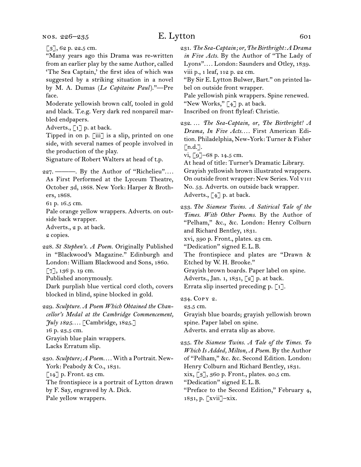nos. 226–235

# E. Lytton 601

[3], 62 p. 22.5 cm.

"Many years ago this Drama was re-written from an earlier play by the same Author, called 'The Sea Captain,' the first idea of which was suggested by a striking situation in a novel by M. A. Dumas (*Le Capitaine Paul*)."—Pre face.

Moderate yellowish brown calf, tooled in gold and black. T.e.g. Very dark red nonpareil marbled endpapers.

Adverts.,  $\begin{bmatrix} 1 \end{bmatrix}$  p. at back.

Tipped in on p. [iii] is a slip, printed on one side, with several names of people involved in the production of the play.

Signature of Robert Walters at head of t.p.

227. ———. By the Author of "Richelieu"*. . . .* As First Performed at the Lyceum Theatre, October 3d, 1868. New York: Harper & Brothers, 1868.

61 p. 16.5 cm.

Pale orange yellow wrappers. Adverts. on outside back wrapper.

Adverts., 2 p. at back.

2 copies.

228. *St Stephen's. A Poem.* Originally Published in "Blackwood's Magazine." Edinburgh and London: William Blackwood and Sons, 1860. [7], 136 p. 19 cm.

Published anonymously.

Dark purplish blue vertical cord cloth, covers blocked in blind, spine blocked in gold.

229. *Sculpture. A Poem Which Obtained the Chancellor's Medal at the Cambridge Commencement, July 1825. . . .* [Cambridge, 1825.] 16 p. 23.5 cm. Grayish blue plain wrappers. Lacks Erratum slip.

230. *Sculpture; A Poem. . . .* With a Portrait. New-York: Peabody & Co., 1831. [14] p. Front. 23 cm. The frontispiece is a portrait of Lytton drawn by F. Say, engraved by A. Dick. Pale yellow wrappers.

231. *The Sea-Captain; or, The Birthright: A Drama in Five Acts.* By the Author of "The Lady of Lyons"*. . . .* London: Saunders and Otley, 1839. viii p., 1 leaf, 112 p. 22 cm.

"By Sir E. Lytton Bulwer, Bart." on printed label on outside front wrapper.

Pale yellowish pink wrappers. Spine renewed. "New Works," [4] p. at back.

Inscribed on front flyleaf: Christie.

232. … *The Sea-Captain, or, The Birthright! A Drama, In Five Acts. . . .* First American Edition. Philadelphia, New-York: Turner & Fisher  $\lceil n.d.\rceil$ .

vi, [9]–68 p. 14.5 cm.

At head of title: Turner's Dramatic Library. Grayish yellowish brown illustrated wrappers. On outside front wrapper: New Series. Vol viii No. 53. Adverts. on outside back wrapper. Adverts., [4] p. at back.

233. *The Siamese Twins. A Satirical Tale of the Times. With Other Poems.* By the Author of "Pelham," &c., &c. London: Henry Colburn and Richard Bentley, 1831.

xvi, 390 p. Front., plates. 23 cm.

"Dedication" signed E.L.B.

The frontispiece and plates are "Drawn & Etched by W. H. Brooke."

Grayish brown boards. Paper label on spine.

Adverts., Jan. 1, 1831, [2] p. at back.

Errata slip inserted preceding p. [1].

234. Copy 2.

23.5 cm.

Grayish blue boards; grayish yellowish brown spine. Paper label on spine. Adverts. and errata slip as above.

235. *The Siamese Twins. A Tale of the Times. To Which Is Added, Milton, A Poem.* By the Author of "Pelham," &c. &c. Second Edition. London: Henry Colburn and Richard Bentley, 1831. xix, [3], 360 p. Front., plates. 20.5 cm. "Dedication" signed E.L.B. "Preface to the Second Edition," February 4, 1831, p. [xvii]–xix.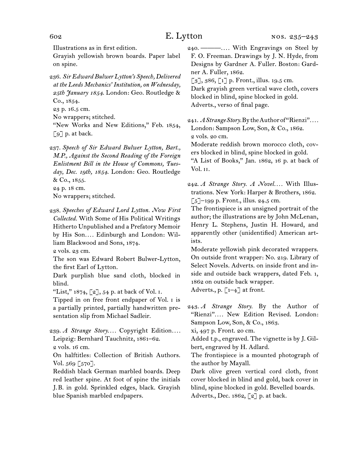Illustrations as in first edition.

Grayish yellowish brown boards. Paper label on spine.

236. *Sir Edward Bulwer Lytton's Speech, Delivered at the Leeds Mechanics' Institution, on Wednesday, 25th January 1854.* London: Geo. Routledge & Co., 1854.

23 p. 16.5 cm.

No wrappers; stitched.

"New Works and New Editions," Feb. 1854,  $\lceil 9 \rceil$  p. at back.

237. *Speech of Sir Edward Bulwer Lytton, Bart., M.P., Against the Second Reading of the Foreign Enlistment Bill in the House of Commons, Tuesday, Dec. 19th, 1854.* London: Geo. Routledge & Co., 1855.

24 p. 18 cm.

No wrappers; stitched.

238. *Speeches of Edward Lord Lytton. Now First Collected.* With Some of His Political Writings Hitherto Unpublished and a Prefatory Memoir by His Son*. . . .* Edinburgh and London: William Blackwood and Sons, 1874.

2 vols. 23 cm.

The son was Edward Robert Bulwer-Lytton, the first Earl of Lytton.

Dark purplish blue sand cloth, blocked in blind.

"List,"  $1874$ ,  $[2]$ , 54 p. at back of Vol. I.

Tipped in on free front endpaper of Vol. i is a partially printed, partially handwritten presentation slip from Michael Sadleir.

239. *A Strange Story. . . .* Copyright Edition*. . . .* Leipzig: Bernhard Tauchnitz, 1861–62. 2 vols. 16 cm.

On halftitles: Collection of British Authors. Vol.  $569$  [570].

Reddish black German marbled boards. Deep red leather spine. At foot of spine the initials J.B. in gold. Sprinkled edges, black. Grayish blue Spanish marbled endpapers.

240. ———*. . . .* With Engravings on Steel by F. O. Freeman. Drawings by J. N. Hyde, from Designs by Gardner A. Fuller. Boston: Gardner A. Fuller, 1862.

[3], 386, [1] p. Front., illus. 19.5 cm. Dark grayish green vertical wave cloth, covers blocked in blind, spine blocked in gold. Adverts., verso of final page.

241. *A Strange Story.* By the Author of "Rienzi"*. . . .* London: Sampson Low, Son, & Co., 1862. 2 vols. 20 cm.

Moderate reddish brown morocco cloth, covers blocked in blind, spine blocked in gold.

"A List of Books," Jan. 1862, 16 p. at back of Vol. ii.

242. *A Strange Story. A Novel...*. With Illustrations. New York: Harper & Brothers, 1862.  $[5]$ –199 p. Front., illus. 24.5 cm.

The frontispiece is an unsigned portrait of the author; the illustrations are by John McLenan, Henry L. Stephens, Justin H. Howard, and apparently other (unidentified) American artists.

Moderate yellowish pink decorated wrappers. On outside front wrapper: No. 219. Library of Select Novels. Adverts. on inside front and inside and outside back wrappers, dated Feb. 1, 1862 on outside back wrapper. Adverts., p.  $\left[1-4\right]$  at front.

243. *A Strange Story.* By the Author of "Rienzi"*. . . .* New Edition Revised. London: Sampson Low, Son, & Co., 1863.

xi, 497 p. Front. 20 cm.

Added t.p., engraved. The vignette is by J. Gilbert, engraved by H. Adlard.

The frontispiece is a mounted photograph of the author by Mayall.

Dark olive green vertical cord cloth, front cover blocked in blind and gold, back cover in blind, spine blocked in gold. Bevelled boards. Adverts., Dec. 1862, [2] p. at back.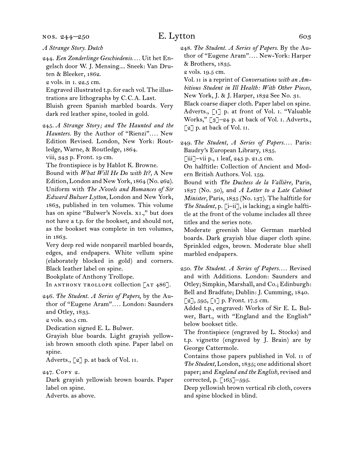nos. 244–250

244. *Een Zonderlinge Geschiedenis. . . .* Uit het Engelsch door W. J. Mensing.... Sneek: Van Druten & Bleeker, 1862.

2 vols. in 1. 22.5 cm.

Engraved illustrated t.p. for each vol. The illus-

trations are lithographs by C.C.A. Last.

Bluish green Spanish marbled boards. Very dark red leather spine, tooled in gold.

245. *A Strange Story; and The Haunted and the Haunters.* By the Author of "Rienzi"*. . . .* New Edition Revised. London, New York: Routledge, Warne, & Routledge, 1864.

viii, 343 p. Front. 19 cm.

The frontispiece is by Hablot K. Browne.

Bound with *What Will He Do with It?,* A New Edition, London and New York, 1864 (No. 262). Uniform with *The Novels and Romances of Sir Edward Bulwer Lytton,* London and New York, 1863, published in ten volumes. This volume has on spine "Bulwer's Novels. xi.," but does not have a t.p. for the bookset, and should not, as the bookset was complete in ten volumes, in 1863.

Very deep red wide nonpareil marbled boards, edges, and endpapers. White vellum spine (elaborately blocked in gold) and corners. Black leather label on spine.

Bookplate of Anthony Trollope.

In ANTHONY TROLLOPE collection [AT 486].

246. *The Student. A Series of Papers*, by the Author of "Eugene Aram"*. . . .* London: Saunders and Otley, 1835.

2 vols. 20.5 cm.

Dedication signed E. L. Bulwer.

Grayish blue boards. Light grayish yellowish brown smooth cloth spine. Paper label on spine.

Adverts., [2] p. at back of Vol. II.

# 247. Copy 2.

Dark grayish yellowish brown boards. Paper label on spine.

Adverts. as above.

248. *The Student. A Series of Papers.* By the Author of "Eugene Aram"*. . . .* New-York: Harper & Brothers, 1835.

2 vols. 19.5 cm.

Vol. ii is a reprint of *Conversations with an Ambitious Student in Ill Health: With Other Pieces,*  New York, J. & J. Harper, 1832 See No. 31.

Black coarse diaper cloth. Paper label on spine. Adverts., [1] p. at front of Vol. i. "Valuable Works," [3]–24 p. at back of Vol. i. Adverts., [2] p. at back of Vol. II.

249. *The Student, A Series of Papers. . . .* Paris: Baudry's European Library, 1835.

[iii]-vii p., 1 leaf, 245 p. 21.5 cm.

On halftitle: Collection of Ancient and Modern British Authors. Vol. 159.

Bound with *The Duchess de la Vallière,* Paris, 1837 (No. 50), and *A Letter to a Late Cabinet Minister,* Paris, 1835 (No. 137). The halftitle for *The Student,* p. [i–ii], is lacking; a single halftitle at the front of the volume includes all three titles and the series note.

Moderate greenish blue German marbled boards. Dark grayish blue diaper cloth spine. Sprinkled edges, brown. Moderate blue shell marbled endpapers.

250. *The Student. A Series of Papers. . . .* Revised and with Additions. London: Saunders and Otley; Simpkin, Marshall, and Co.; Edinburgh: Bell and Bradfute; Dublin: J. Cumming, 1840.  $[2]$ , 595,  $[1]$  p. Front. 17.5 cm.

Added t.p., engraved: Works of Sir E. L. Bulwer, Bart., with "England and the English" below bookset title.

The frontispiece (engraved by L. Stocks) and t.p. vignette (engraved by J. Brain) are by George Cattermole.

Contains those papers published in Vol. ii of *The Student,* London, 1835; one additional short paper; and *England and the English,* revised and corrected, p. [165]–595.

Deep yellowish brown vertical rib cloth, covers and spine blocked in blind.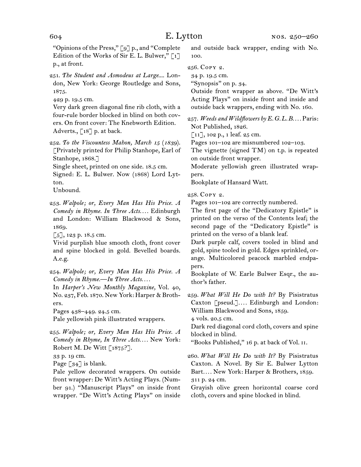"Opinions of the Press," [9] p., and "Complete Edition of the Works of Sir E. L. Bulwer,"  $\lceil 1 \rceil$ p., at front.

251. *The Student and Asmodeus at Large*.... London, New York: George Routledge and Sons, 1875.

429 p. 19.5 cm.

Very dark green diagonal fine rib cloth, with a four-rule border blocked in blind on both covers. On front cover: The Knebworth Edition. Adverts., [18] p. at back.

252. *To the Viscountess Mahon, March 15* (*1839*). [Privately printed for Philip Stanhope, Earl of Stanhope, 1868.]

Single sheet, printed on one side. 18.5 cm.

Signed: E. L. Bulwer. Now (1868) Lord Lytton.

Unbound.

 $[5]$ , 123 p. 18.5 cm.

Vivid purplish blue smooth cloth, front cover and spine blocked in gold. Bevelled boards. A.e.g.

254. *Walpole; or, Every Man Has His Price. A Comedy in Rhyme.—In Three Acts. . . .*

In *Harper's New Monthly Magazine,* Vol. 40, No. 237, Feb. 1870. New York: Harper & Brothers.

Pages 438–449. 24.5 cm.

Pale yellowish pink illustrated wrappers.

255. *Walpole; or, Every Man Has His Price. A Comedy in Rhyme, In Three Acts. . . .* New York: Robert M. De Witt [1875?].

33 p. 19 cm.

Page  $\lceil 34 \rceil$  is blank.

Pale yellow decorated wrappers. On outside front wrapper: De Witt's Acting Plays. (Number 91.) "Manuscript Plays" on inside front wrapper. "De Witt's Acting Plays" on inside

and outside back wrapper, ending with No. 100.

256. Copy 2.

34 p. 19.5 cm.

"Synopsis" on p. 34.

Outside front wrapper as above. "De Witt's Acting Plays" on inside front and inside and outside back wrappers, ending with No. 160.

257. *Weeds and Wildflowers by E.G.L.B. . . .* Paris: Not Published, 1826.

[11], 102 p., 1 leaf. 25 cm.

Pages 101–102 are misnumbered 102–103.

The vignette (signed TM) on t.p. is repeated on outside front wrapper.

Moderate yellowish green illustrated wrappers.

Bookplate of Hansard Watt.

258. Copy 2.

Pages 101–102 are correctly numbered.

The first page of the "Dedicatory Epistle" is printed on the verso of the Contents leaf; the second page of the "Dedicatory Epistle" is printed on the verso of a blank leaf.

Dark purple calf, covers tooled in blind and gold, spine tooled in gold. Edges sprinkled, orange. Multicolored peacock marbled endpapers.

Bookplate of W. Earle Bulwer Esqr., the author's father.

259. *What Will He Do with It?* By Pisistratus Caxton [pseud.]*. . . .* Edinburgh and London: William Blackwood and Sons, 1859.

4 vols. 20.5 cm.

Dark red diagonal cord cloth, covers and spine blocked in blind.

"Books Published," 16 p. at back of Vol. ii.

260. *What Will He Do with It?* By Pisistratus Caxton. A Novel. By Sir E. Bulwer Lytton Bart*. . . .* New York: Harper & Brothers, 1859. 311 p. 24 cm.

Grayish olive green horizontal coarse cord cloth, covers and spine blocked in blind.

<sup>253.</sup> *Walpole; or, Every Man Has His Price. A Comedy in Rhyme. In Three Acts. . . .* Edinburgh and London: William Blackwood & Sons, 1869.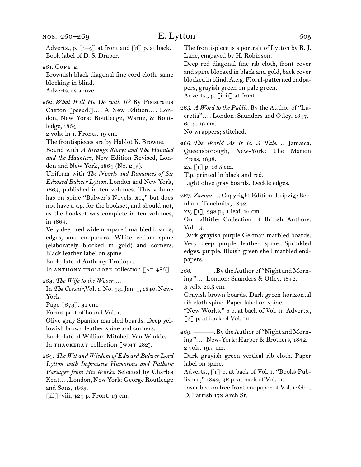261. Copy 2.

Brownish black diagonal fine cord cloth, same blocking in blind. Adverts. as above.

262. *What Will He Do with It?* By Pisistratus Caxton [pseud.]*. . . .* A New Edition*. . . .* London, New York: Routledge, Warne, & Routledge, 1864.

2 vols. in 1. Fronts. 19 cm.

The frontispieces are by Hablot K. Browne.

Bound with *A Strange Story; and The Haunted and the Haunters,* New Edition Revised, London and New York, 1864 (No. 245).

Uniform with *The Novels and Romances of Sir Edward Bulwer Lytton,* London and New York, 1863, published in ten volumes. This volume has on spine "Bulwer's Novels. x1.," but does not have a t.p. for the bookset, and should not, as the bookset was complete in ten volumes, in 1863.

Very deep red wide nonpareil marbled boards, edges, and endpapers. White vellum spine (elaborately blocked in gold) and corners. Black leather label on spine.

Bookplate of Anthony Trollope.

In ANTHONY TROLLOPE collection [AT 486].

263. The Wife to the Wooer....

In *The Corsair,*Vol. 1, No. 43, Jan. 4, 1840. New-York.

Page [673]. 31 cm.

Forms part of bound Vol. 1.

Olive gray Spanish marbled boards. Deep yellowish brown leather spine and corners. Bookplate of William Mitchell Van Winkle. In THACKERAY collection [WMT 282].

264. *The Wit and Wisdom of Edward Bulwer Lord Lytton with Impressive Humorous and Pathetic Passages from His Works.* Selected by Charles Kent*. . . .* London, New York: George Routledge and Sons, 1883.

 $\left[\text{iii}\right]$ -viii, 424 p. Front. 19 cm.

The frontispiece is a portrait of Lytton by R. J. Lane, engraved by H. Robinson.

Deep red diagonal fine rib cloth, front cover and spine blocked in black and gold, back cover blocked in blind. A.e.g. Floral-patterned endpapers, grayish green on pale green. Adverts., p. [i–ii] at front.

265. *A Word to the Public.* By the Author of "Lucretia"*. . . .* London: Saunders and Otley, 1847. 60 p. 19 cm.

No wrappers; stitched.

266. The World As It Is. A Tale.... Jamaica, Queensborough, New-York: The Marion Press, 1898.

25, [1] p. 18.5 cm.

T.p. printed in black and red.

Light olive gray boards. Deckle edges.

267. *Zanoni. . . .* Copyright Edition. Leipzig: Bernhard Tauchnitz, 1842.

xv, [1], 398 p., 1 leaf. 16 cm.

On halftitle: Collection of British Authors. Vol. 13.

Dark grayish purple German marbled boards. Very deep purple leather spine. Sprinkled edges, purple. Bluish green shell marbled endpapers.

268. ———. By the Author of "Night and Morning"*. . . .* London: Saunders & Otley, 1842.

3 vols. 20.5 cm.

Grayish brown boards. Dark green horizontal rib cloth spine. Paper label on spine.

"New Works," 6 p. at back of Vol. II. Adverts., [2] p. at back of Vol. III.

269. ———. By the Author of "Night and Morning"*. . . .* New-York: Harper & Brothers, 1842. 2 vols. 19.5 cm.

Dark grayish green vertical rib cloth. Paper label on spine.

Adverts., [1] p. at back of Vol. i. "Books Published," 1842, 36 p. at back of Vol. ii.

Inscribed on free front endpaper of Vol. i: Geo. D. Parrish 178 Arch St.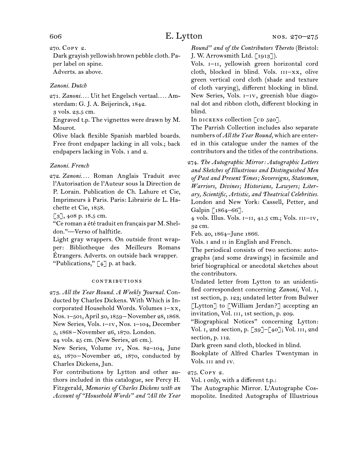270. Copy 2.

Dark grayish yellowish brown pebble cloth. Paper label on spine. Adverts. as above.

# *Zanoni. Dutch*

271. *Zanoni. . . .* Uit het Engelsch vertaal*. . . .* Amsterdam: G. J. A. Beijerinck, 1842.

3 vols. 23.5 cm.

Engraved t.p. The vignettes were drawn by M. Mourot.

Olive black flexible Spanish marbled boards. Free front endpaper lacking in all vols.; back endpapers lacking in Vols. 1 and 2.

# *Zanoni. French*

272. *Zanoni. . . .* Roman Anglais Traduit avec l'Autorisation de l'Auteur sous la Direction de P. Lorain. Publication de Ch. Lahure et Cie, Imprimeurs à Paris. Paris: Librairie de L. Hachette et Cie, 1858.

[3], 408 p. 18.5 cm.

"Ce roman a été traduit en français par M. Sheldon."—Verso of halftitle.

Light gray wrappers. On outside front wrapper: Bibliotheque des Meilleurs Romans Étrangers. Adverts. on outside back wrapper. "Publications,"  $\lceil 4 \rceil$  p. at back.

### contributions

273. *All the Year Round. A Weekly Journal.* Conducted by Charles Dickens. With Which is Incorporated Household Words. Volumes i–xx, Nos. 1–501, April 30, 1859–November 28, 1868. New Series, Vols. i–iv, Nos. 1–104, December 5, 1868 –November 26, 1870. London.

24 vols. 25 cm. (New Series, 26 cm.).

New Series, Volume iv, Nos. 82–104, June 25, 1870 –November 26, 1870, conducted by Charles Dickens, Jun.

For contributions by Lytton and other authors included in this catalogue, see Percy H. Fitzgerald, *Memories of Charles Dickens with an Account of "Household Words" and "All the Year*  *Round" and of the Contributors Thereto* (Bristol: J. W. Arrowsmith Ltd. [1913]).

Vols. I-II, yellowish green horizontal cord cloth, blocked in blind. Vols.  $III-XX$ , olive green vertical cord cloth (shade and texture of cloth varying), different blocking in blind. New Series, Vols. i–iv, greenish blue diagonal dot and ribbon cloth, different blocking in blind.

In DICKENS collection  $\lceil$  cD 520].

The Parrish Collection includes also separate numbers of *All the Year Round,* which are entered in this catalogue under the names of the contributors and the titles of the contributions.

274. *The Autographic Mirror: Autographic Letters and Sketches of Illustrious and Distinguished Men of Past and Present Times; Sovereigns, Statesmen, Warriors, Divines; Historians, Lawyers; Literary, Scientific, Artistic, and Theatrical Celebrities.* London and New York: Cassell, Petter, and Galpin [1864–66].

4 vols. Illus. Vols. i–ii, 41.5 cm.; Vols. iii–iv, 32 cm.

Feb. 20, 1864–June 1866.

Vols. i and ii in English and French.

The periodical consists of two sections: autographs (and some drawings) in facsimile and brief biographical or anecdotal sketches about the contributors.

Undated letter from Lytton to an unidentified correspondent concerning *Zanoni,* Vol. i, 1st section, p. 123; undated letter from Bulwer [Lytton] to [William Jerdan?] accepting an invitation, Vol. III, 1st section, p. 209.

"Biographical Notices" concerning Lytton: Vol. i, 2nd section, p. [39]–[40]; Vol. iii, 2nd section, p. 112.

Dark green sand cloth, blocked in blind.

Bookplate of Alfred Charles Twentyman in Vols. iii and iv.

275. Copy 2.

Vol. i only, with a different t.p.:

The Autographic Mirror. L'Autographe Cosmopolite. Inedited Autographs of Illustrious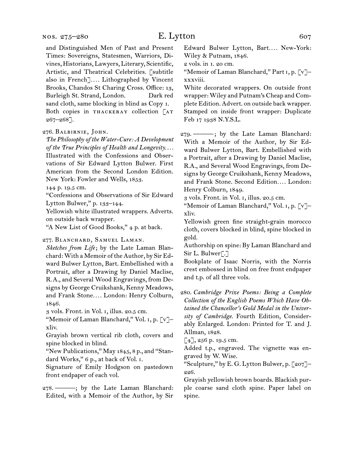and Distinguished Men of Past and Present Times: Sovereigns, Statesmen, Warriors, Divines, Historians, Lawyers, Literary, Scientific, Artistic, and Theatrical Celebrities. [subtitle also in French]*. . . .* Lithographed by Vincent Brooks, Chandos St Charing Cross. Office: 13, Burleigh St. Strand, London. Dark red sand cloth, same blocking in blind as Copy 1. Both copies in THACKERAY collection [AT 267–268].

276. Balbirnie, John.

*The Philosophy of the Water-Cure: A Development of the True Principles of Health and Longevity. . . .* Illustrated with the Confessions and Observations of Sir Edward Lytton Bulwer. First American from the Second London Edition. New York: Fowler and Wells, 1853.

144 p. 19.5 cm.

"Confessions and Observations of Sir Edward Lytton Bulwer," p. 133–144.

Yellowish white illustrated wrappers. Adverts. on outside back wrapper.

"A New List of Good Books," 4 p. at back.

277. BLANCHARD, SAMUEL LAMAN.

*Sketches from Life*; by the Late Laman Blanchard: With a Memoir of the Author, by Sir Edward Bulwer Lytton, Bart. Embellished with a Portrait, after a Drawing by Daniel Maclise, R.A., and Several Wood Engravings, from Designs by George Cruikshank, Kenny Meadows, and Frank Stone*. . . .* London: Henry Colburn, 1846.

3 vols. Front. in Vol. i, illus. 20.5 cm.

"Memoir of Laman Blanchard," Vol. 1, p. [v]xliv.

Grayish brown vertical rib cloth, covers and spine blocked in blind.

"New Publications," May 1845, 8 p., and "Standard Works," 6 p., at back of Vol. i.

Signature of Emily Hodgson on pastedown front endpaper of each vol.

278. ———; by the Late Laman Blanchard: Edited, with a Memoir of the Author, by Sir

Edward Bulwer Lytton, Bart.... New-York: Wiley & Putnam, 1846.

2 vols. in 1. 20 cm.

"Memoir of Laman Blanchard," Part 1, p. [v]xxxviii.

White decorated wrappers. On outside front wrapper: Wiley and Putnam's Cheap and Complete Edition. Advert. on outside back wrapper. Stamped on inside front wrapper: Duplicate Feb 17 1938 N.Y.S.L.

279. ———; by the Late Laman Blanchard: With a Memoir of the Author, by Sir Edward Bulwer Lytton, Bart. Embellished with a Portrait, after a Drawing by Daniel Maclise, R.A., and Several Wood Engravings, from Designs by George Cruikshank, Kenny Meadows, and Frank Stone. Second Edition*. . . .* London: Henry Colburn, 1849.

3 vols. Front. in Vol. i, illus. 20.5 cm.

"Memoir of Laman Blanchard," Vol. 1, p. [v]xliv.

Yellowish green fine straight-grain morocco cloth, covers blocked in blind, spine blocked in gold.

Authorship on spine: By Laman Blanchard and Sir L. Bulwer[.]

Bookplate of Isaac Norris, with the Norris crest embossed in blind on free front endpaper and t.p. of all three vols.

280. *Cambridge Prize Poems: Being a Complete Collection of the English Poems Which Have Obtained the Chancellor's Gold Medal in the University of Cambridge.* Fourth Edition, Considerably Enlarged. London: Printed for T. and J. Allman, 1828.

[4], 256 p. 19.5 cm.

Added t.p., engraved. The vignette was engraved by W. Wise.

"Sculpture," by E. G. Lytton Bulwer, p. [207]– 226.

Grayish yellowish brown boards. Blackish purple coarse sand cloth spine. Paper label on spine.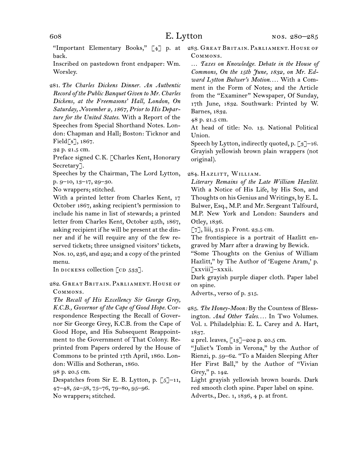back.

Inscribed on pastedown front endpaper: Wm. Worsley.

281. *The Charles Dickens Dinner. An Authentic Record of the Public Banquet Given to Mr. Charles Dickens, at the Freemasons' Hall, London, On Saturday, November 2, 1867, Prior to His Departure for the United States.* With a Report of the Speeches from Special Shorthand Notes. London: Chapman and Hall; Boston: Ticknor and Field[s], 1867.

32 p. 21.5 cm.

Preface signed C.K. [Charles Kent, Honorary Secretary<sup>[1]</sup>.

Speeches by the Chairman, The Lord Lytton, p. 9–10, 13–17, 29–30.

No wrappers; stitched.

With a printed letter from Charles Kent, 17 October 1867, asking recipient's permission to include his name in list of stewards; a printed letter from Charles Kent, October 25th, 1867, asking recipient if he will be present at the dinner and if he will require any of the few reserved tickets; three unsigned visitors' tickets, Nos. 10, 236, and 292; and a copy of the printed menu.

In dickens collection  $[CD 533]$ .

282. Great Britain. Parliament. House of Commons.

*The Recall of His Excellency Sir George Grey, K.C.B., Governor of the Cape of Good Hope.* Correspondence Respecting the Recall of Governor Sir George Grey, K.C.B. from the Cape of Good Hope, and His Subsequent Reappointment to the Government of That Colony. Reprinted from Papers ordered by the House of Commons to be printed 17th April, 1860. London: Willis and Sotheran, 1860.

98 p. 20.5 cm.

Despatches from Sir E. B. Lytton, p.  $\lbrack 5 \rbrack -11$ , 47–48, 52–58, 75–76, 79–80, 95–96. No wrappers; stitched.

"Important Elementary Books," [4] p. at 283. GREAT BRITAIN. PARLIAMENT. HOUSE OF Commons.

> … *Taxes on Knowledge. Debate in the House of Commons, On the 15th June, 1832, on Mr. Edward Lytton Bulwer's Motion. . . .* With a Comment in the Form of Notes; and the Article from the "Examiner" Newspaper, Of Sunday, 17th June, 1832. Southwark: Printed by W. Barnes, 1832.

48 p. 21.5 cm.

At head of title: No. 13. National Political Union.

Speech by Lytton, indirectly quoted, p.  $\lceil 3 \rceil$ –16. Grayish yellowish brown plain wrappers (not original).

284. HAZLITT, WILLIAM.

*Literary Remains of the Late William Hazlitt.*  With a Notice of His Life, by His Son, and Thoughts on his Genius and Writings, by E. L. Bulwer, Esq., M.P. and Mr. Sergeant Talfourd, M.P. New York and London: Saunders and Otley, 1836.

[7], liii, 315 p. Front. 23.5 cm.

The frontispiece is a portrait of Hazlitt engraved by Marr after a drawing by Bewick.

"Some Thoughts on the Genius of William Hazlitt," by The Author of 'Eugene Aram,' p. [xxviii]–xxxii.

Dark grayish purple diaper cloth. Paper label on spine.

Adverts., verso of p. 315.

285. *The Honey-Moon:* By the Countess of Blessington. *And Other Tales...*. In Two Volumes. Vol. i. Philadelphia: E. L. Carey and A. Hart, 1837.

2 prel. leaves, [13]–202 p. 20.5 cm.

"Juliet's Tomb in Verona," by the Author of Rienzi, p. 59–62. "To a Maiden Sleeping After Her First Ball," by the Author of "Vivian Grey," p. 142.

Light grayish yellowish brown boards. Dark red smooth cloth spine. Paper label on spine. Adverts., Dec. 1, 1836, 4 p. at front.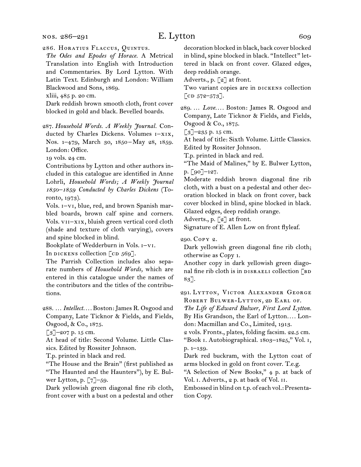nos. 286–291

# E. Lytton 609

*The Odes and Epodes of Horace.* A Metrical Translation into English with Introduction and Commentaries. By Lord Lytton. With Latin Text. Edinburgh and London: William Blackwood and Sons, 1869.

xliii, 485 p. 20 cm.

Dark reddish brown smooth cloth, front cover blocked in gold and black. Bevelled boards.

287. *Household Words. A Weekly Journal.* Conducted by Charles Dickens. Volumes i–xix, Nos. 1-479, March 30, 1850-May 28, 1859. London: Office.

19 vols. 24 cm.

Contributions by Lytton and other authors included in this catalogue are identified in Anne Lohrli, *Household Words; A Weekly Journal 1850–1859 Conducted by Charles Dickens* (Toronto, 1973).

Vols. i–vi, blue, red, and brown Spanish marbled boards, brown calf spine and corners. Vols. vii–xix, bluish green vertical cord cloth (shade and texture of cloth varying), covers and spine blocked in blind.

Bookplate of Wedderburn in Vols. i–vi.

In DICKENS collection  $[CD 569]$ .

The Parrish Collection includes also separate numbers of *Household Words,* which are entered in this catalogue under the names of the contributors and the titles of the contributions.

288. … *Intellect. . . .* Boston: James R. Osgood and Company, Late Ticknor & Fields, and Fields, Osgood, & Co., 1875.

[3]–207 p. 15 cm.

At head of title: Second Volume. Little Classics. Edited by Rossiter Johnson.

T.p. printed in black and red.

"The House and the Brain" (first published as "The Haunted and the Haunters"), by E. Bulwer Lytton, p.  $\lceil 7 \rceil - 59$ .

Dark yellowish green diagonal fine rib cloth, front cover with a bust on a pedestal and other

decoration blocked in black, back cover blocked in blind, spine blocked in black. "Intellect" lettered in black on front cover. Glazed edges, deep reddish orange.

Adverts., p. [2] at front.

Two variant copies are in DICKENS collection  $[CD 572 - 573].$ 

289. … *Love. . . .* Boston: James R. Osgood and Company, Late Ticknor & Fields, and Fields, Osgood & Co., 1875.

 $\lceil 3 \rceil$ –235 p. 15 cm.

At head of title: Sixth Volume. Little Classics. Edited by Rossiter Johnson.

T.p. printed in black and red.

"The Maid of Malines," by E. Bulwer Lytton, p. [90]–127.

Moderate reddish brown diagonal fine rib cloth, with a bust on a pedestal and other decoration blocked in black on front cover, back cover blocked in blind, spine blocked in black. Glazed edges, deep reddish orange.

Adverts., p. [2] at front.

Signature of E. Allen Low on front flyleaf.

290. Copy 2.

Dark yellowish green diagonal fine rib cloth; otherwise as Copy 1.

Another copy in dark yellowish green diagonal fine rib cloth is in  $DISRAELI$  collection  $[BD]$ 83].

291. Lytton, Victor Alexander George ROBERT BULWER-LYTTON, 2D EARL OF.

*The Life of Edward Bulwer, First Lord Lytton.*  By His Grandson, the Earl of Lytton*. . . .* Lon-

don: Macmillan and Co., Limited, 1913. 2 vols. Fronts., plates, folding facsim. 22.5 cm. "Book i. Autobiographical. 1803–1825," Vol. i, p. 1–139.

Dark red buckram, with the Lytton coat of arms blocked in gold on front cover. T.e.g.

"A Selection of New Books," 4 p. at back of Vol. i. Adverts., 2 p. at back of Vol. ii.

Embossed in blind on t.p. of each vol.: Presentation Copy.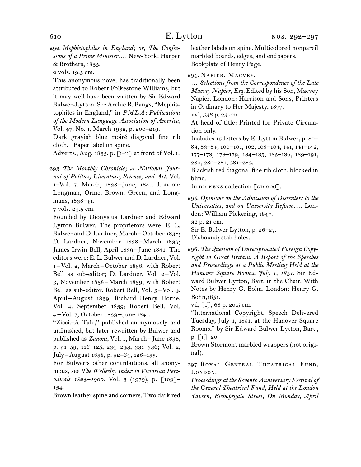292. *Mephistophiles in England; or, The Confessions of a Prime Minister. . . .* New-York: Harper & Brothers, 1835.

2 vols. 19.5 cm.

This anonymous novel has traditionally been attributed to Robert Folkestone Williams, but it may well have been written by Sir Edward Bulwer-Lytton. See Archie R. Bangs, "Mephistophiles in England," in *PM LA: Publications of the Modern Language Association of America,*  Vol. 47, No. 1, March 1932, p. 200–219.

Dark grayish blue moiré diagonal fine rib cloth. Paper label on spine.

Adverts., Aug. 1835, p. [i-ii] at front of Vol. I.

293. *The Monthly Chronicle; A National Journal of Politics, Literature, Science, and Art.* Vol. 1–Vol. 7. March, 1838–June, 1841. London: Longman, Orme, Brown, Green, and Longmans, 1838–41.

7 vols. 24.5 cm.

Founded by Dionysius Lardner and Edward Lytton Bulwer. The proprietors were: E. L. Bulwer and D. Lardner, March–October 1838; D. Lardner, November 1838 –March 1839; James Irwin Bell, April 1839–June 1841. The editors were: E. L. Bulwer and D. Lardner, Vol. 1–Vol. 2, March–October 1838, with Robert Bell as sub-editor; D. Lardner, Vol. 2–Vol. 3, November 1838 –March 1839, with Robert Bell as sub-editor; Robert Bell, Vol.  $3 -$ Vol.  $4$ , April–August 1839; Richard Henry Horne, Vol. 4, September 1839; Robert Bell, Vol. 4–Vol. 7, October 1839–June 1841.

"Zicci.–A Tale," published anonymously and unfinished, but later rewritten by Bulwer and published as *Zanoni,* Vol. 1, March–June 1838, p. 51–59, 116–125, 234–243, 331–336; Vol. 2, July –August 1838, p. 52–64, 126–135.

For Bulwer's other contributions, all anonymous, see *The Wellesley Index to Victorian Periodicals 1824 –1900,* Vol. 3 (1979), p. [109]– 134.

Brown leather spine and corners. Two dark red

leather labels on spine. Multicolored nonpareil marbled boards, edges, and endpapers. Bookplate of Henry Page.

294. Napier, Macvey.

… *Selections from the Correspondence of the Late Macvey Napier, Esq.* Edited by his Son, Macvey Napier. London: Harrison and Sons, Printers in Ordinary to Her Majesty, 1877.

xvi, 536 p. 23 cm.

At head of title: Printed for Private Circulation only.

Includes 15 letters by E. Lytton Bulwer, p. 80– 83, 83–84, 100–101, 102, 103–104, 141, 141–142, 177–178, 178–179, 184–185, 185–186, 189–191, 280, 280–281, 281–282.

Blackish red diagonal fine rib cloth, blocked in blind.

In dickens collection  $\lceil$  cD 606].

295. *Opinions on the Admission of Dissenters to the Universities, and on University Reform. . . .* London: William Pickering, 1847.

32 p. 21 cm.

Sir E. Bulwer Lytton, p. 26–27.

Disbound; stab holes.

296. *The Question of Unreciprocated Foreign Copyright in Great Britain. A Report of the Speeches and Proceedings at a Public Meeting Held at the Hanover Square Rooms, July 1, 1851.* Sir Edward Bulwer Lytton, Bart. in the Chair. With Notes by Henry G. Bohn. London: Henry G. Bohn,1851.

vii,  $\lceil 1 \rceil$ , 68 p. 20.5 cm.

"International Copyright. Speech Delivered Tuesday, July 1, 1851, at the Hanover Square Rooms," by Sir Edward Bulwer Lytton, Bart., p. [1]–20.

Brown Stormont marbled wrappers (not original).

297. Royal General Theatrical Fund, LONDON.

*Proceedings at the Seventh Anniversary Festival of the General Theatrical Fund, Held at the London Tavern, Bishopsgate Street, On Monday, April*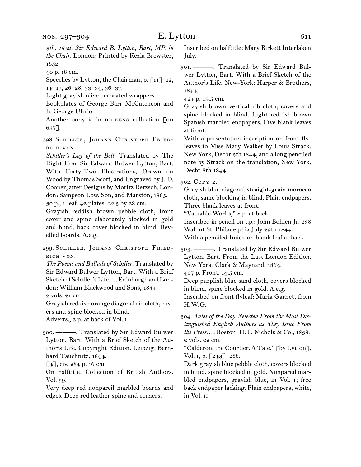*5th, 1852. Sir Edward B. Lytton, Bart, MP. in the Chair.* London: Printed by Kezia Brewster, 1852.

40 p. 18 cm.

Speeches by Lytton, the Chairman, p. [11]–12, 14–17, 26–28, 33–34, 36–37.

Light grayish olive decorated wrappers.

Bookplates of George Barr McCutcheon and B. George Ulizio.

Another copy is in DICKENS collection [CD 637].

298. Schiller, Johann Christoph Friedrich von.

*Schiller's Lay of the Bell.* Translated by The Right Hon. Sir Edward Bulwer Lytton, Bart. With Forty-Two Illustrations, Drawn on Wood by Thomas Scott, and Engraved by J. D. Cooper, after Designs by Moritz Retzsch. London: Sampson Low, Son, and Marston, 1865. 30 p., 1 leaf. 42 plates. 22.5 by 28 cm.

Grayish reddish brown pebble cloth, front cover and spine elaborately blocked in gold and blind, back cover blocked in blind. Bevelled boards. A.e.g.

299. Schiller, Johann Christoph Friedrich von.

*The Poems and Ballads of Schiller.* Translated by Sir Edward Bulwer Lytton, Bart. With a Brief Sketch of Schiller's Life*. . . .* Edinburgh and London: William Blackwood and Sons, 1844. 2 vols. 21 cm.

Grayish reddish orange diagonal rib cloth, covers and spine blocked in blind.

Adverts., 2 p. at back of Vol. i.

300. ———. Translated by Sir Edward Bulwer Lytton, Bart. With a Brief Sketch of the Author's Life. Copyright Edition. Leipzig: Bernhard Tauchnitz, 1844.

 $[4]$ , civ, 284 p. 16 cm.

On halftitle: Collection of British Authors. Vol. 59.

Very deep red nonpareil marbled boards and edges. Deep red leather spine and corners.

Inscribed on halftitle: Mary Birkett Interlaken July.

301. ———. Translated by Sir Edward Bulwer Lytton, Bart. With a Brief Sketch of the Author's Life. New-York: Harper & Brothers, 1844.

424 p. 19.5 cm.

Grayish brown vertical rib cloth, covers and spine blocked in blind. Light reddish brown Spanish marbled endpapers. Five blank leaves at front.

With a presentation inscription on front flyleaves to Miss Mary Walker by Louis Strack, New York, Decbr 5th 1844, and a long penciled note by Strack on the translation, New York, Decbr 8th 1844.

302. Copy 2.

Grayish blue diagonal straight-grain morocco cloth, same blocking in blind. Plain endpapers. Three blank leaves at front.

"Valuable Works," 8 p. at back.

Inscribed in pencil on t.p.: John Bohlen Jr. 238 Walnut St. Philadelphia July 29th 1844.

With a penciled Index on blank leaf at back.

303. ———. Translated by Sir Edward Bulwer Lytton, Bart. From the Last London Edition. New York: Clark & Maynard, 1864.

407 p. Front. 14.5 cm.

Deep purplish blue sand cloth, covers blocked in blind, spine blocked in gold. A.e.g.

Inscribed on front flyleaf: Maria Garnett from H.W.G.

304. *Tales of the Day. Selected From the Most Distinguished English Authors as They Issue From the Press. . . .* Boston: H. P. Nichols & Co., 1838. 2 vols. 22 cm.

"Calderon, the Courtier. A Tale," [by Lytton], Vol. i, p. [243]–288.

Dark grayish blue pebble cloth, covers blocked in blind, spine blocked in gold. Nonpareil marbled endpapers, grayish blue, in Vol. i; free back endpaper lacking. Plain endpapers, white, in Vol. ii.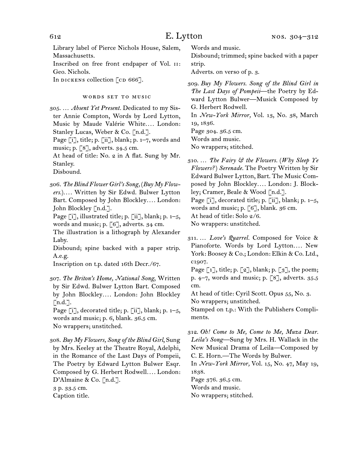Library label of Pierce Nichols House, Salem, Massachusetts. Inscribed on free front endpaper of Vol. ii: Geo. Nichols. In dickens collection  $\lceil$  cd 666].

### words set to music

305. … *Absent Yet Present.* Dedicated to my Sister Annie Compton, Words by Lord Lytton, Music by Maude Valérie White*. . . .* London: Stanley Lucas, Weber & Co. [n.d.].

Page [i], title; p. [ii], blank; p. 1-7, words and music; p. [8], adverts. 34.5 cm.

At head of title: No. 2 in A flat. Sung by Mr. Stanley.

Disbound.

306. *The Blind Flower Girl's Song,* (*Buy My Flowers.*)*. . . .* Written by Sir Edwd. Bulwer Lytton Bart. Composed by John Blockley*. . . .* London: John Blockley [n.d.].

Page  $[i]$ , illustrated title; p.  $[i]$ , blank; p. 1–5, words and music; p. [6], adverts. 34 cm.

The illustration is a lithograph by Alexander Laby.

Disbound; spine backed with a paper strip. A.e.g.

Inscription on t.p. dated 16th Decr./67.

307. *The Briton's Home, National Song*, Written by Sir Edwd. Bulwer Lytton Bart. Composed by John Blockley*. . . .* London: John Blockley  $\lceil$ n.d. $\rceil$ .

Page  $\lceil i \rceil$ , decorated title; p.  $\lceil ii \rceil$ , blank; p. 1–5, words and music; p. 6, blank. 36.5 cm. No wrappers; unstitched.

308. *Buy My Flowers, Song of the Blind Girl*, Sung by Mrs. Keeley at the Theatre Royal, Adelphi, in the Romance of the Last Days of Pompeii, The Poetry by Edward Lytton Bulwer Esqr. Composed by G. Herbert Rodwell*. . . .* London: D'Almaine & Co. [n.d.].

3 p. 33.5 cm. Caption title. Words and music.

Disbound; trimmed; spine backed with a paper strip.

Adverts. on verso of p. 3.

309. *Buy My Flowers. Song of the Blind Girl in The Last Days of Pompeii*—the Poetry by Edward Lytton Bulwer—Musick Composed by G. Herbert Rodwell.

In *New-York Mirror,* Vol. 13, No. 38, March 19, 1836.

Page 304. 36.5 cm.

Words and music.

No wrappers; stitched.

310. … *The Fairy & the Flowers.* (*Why Sleep Ye Flowers?* ) *Serenade.* The Poetry Written by Sir Edward Bulwer Lytton, Bart. The Music Composed by John Blockley*. . . .* London: J. Blockley; Cramer, Beale & Wood [n.d.].

Page  $[i]$ , decorated title; p.  $[i]$ , blank; p.  $1-5$ , words and music; p. [6], blank. 36 cm.

At head of title: Solo 2/6.

No wrappers: unstitched.

311. … *Love's Quarrel.* Composed for Voice & Pianoforte. Words by Lord Lytton.... New York: Boosey & Co.; London: Elkin & Co. Ltd., c1907.

Page  $\lceil 1 \rceil$ , title; p.  $\lceil 2 \rceil$ , blank; p.  $\lceil 3 \rceil$ , the poem; p. 4–7, words and music; p. [8], adverts. 35.5 cm.

At head of title: Cyril Scott. Opus 55, No. 3. No wrappers; unstitched.

Stamped on t.p.: With the Publishers Compliments.

312. *Oh! Come to Me, Come to Me, Muza Dear. Leila's Song*—Sung by Mrs. H. Wallack in the New Musical Drama of Leila—Composed by C. E. Horn.—The Words by Bulwer.

In *New-York Mirror,* Vol. 15, No. 47, May 19, 1838.

Page 376. 36.5 cm. Words and music. No wrappers; stitched.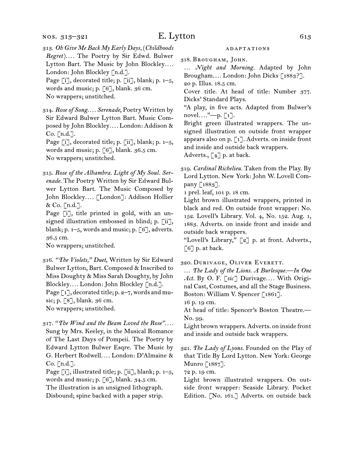### nos. 313–321

# E. Lytton 613

313. *Oh Give Me Back My Early Days,* (*Childhoods Regret*)*. . . .* The Poetry by Sir Edwd. Bulwer Lytton Bart. The Music by John Blockley*. . . .*  London: John Blockley [n.d.].

Page [i], decorated title; p. [ii], blank; p. 1–5, words and music; p. [6], blank. 36 cm. No wrappers; unstitched.

314. *Rose of Song. . . . Serenade*, Poetry Written by Sir Edward Bulwer Lytton Bart. Music Composed by John Blockley*. . . .* London: Addison & Co. [n.d.].

Page  $[i]$ , decorated title; p.  $[i]$ , blank; p.  $1-5$ , words and music; p. [6], blank. 36.5 cm. No wrappers; unstitched.

315. *Rose of the Alhambra. Light of My Soul. Serenade.* The Poetry Written by Sir Edward Bulwer Lytton Bart. The Music Composed by John Blockley*. . . .* [London]: Addison Hollier & Co. [n.d.].

Page [i], title printed in gold, with an unsigned illustration embossed in blind; p. [ii], blank; p.  $1-5$ , words and music; p. [6], adverts. 36.5 cm.

No wrappers; unstitched.

316. *"The Violets," Duet*, Written by Sir Edward Bulwer Lytton, Bart. Composed & Inscribed to Miss Doughty & Miss Sarah Doughty, by John Blockley*. . . .* London: John Blockley [n.d.]. Page [1], decorated title; p. 2-7, words and music; p. [8], blank. 36 cm. No wrappers; unstitched.

317. *"The Wind and the Beam Loved the Rose". . . .* Sung by Mrs. Keeley, in the Musical Romance of The Last Days of Pompeii. The Poetry by Edward Lytton Bulwer Esqre. The Music by G. Herbert Rodwell*. . . .* London: D'Almaine & Co. [n.d.].

Page  $[i]$ , illustrated title; p.  $[i]$ , blank; p.  $1-5$ , words and music; p. [6], blank. 34.5 cm.

The illustration is an unsigned lithograph.

Disbound; spine backed with a paper strip.

# **ADAPTATIONS**

318. Brougham, John.

… *Night and Morning.* Adapted by John Brougham*. . . .* London: John Dicks [1883?].

20 p. Illus. 18.5 cm.

Cover title. At head of title: Number 377. Dicks' Standard Plays.

"A play, in five acts. Adapted from Bulwer's novel*. . . .*"—p. [1].

Bright green illustrated wrappers. The unsigned illustration on outside front wrapper appears also on p. [1]. Adverts. on inside front and inside and outside back wrappers. Adverts.,  $\lceil 4 \rceil$  p. at back.

319. *Cardinal Richelieu.* Taken from the Play. By Lord Lytton. New York: John W. Lovell Company [1883].

1 prel. leaf, 101 p. 18 cm.

Light brown illustrated wrappers, printed in black and red. On outside front wrapper: No. 152. Lovell's Library. Vol. 4, No. 152. Aug. 1, 1883. Adverts. on inside front and inside and outside back wrappers.

"Lovell's Library," [2] p. at front. Adverts.,  $\lceil 6 \rceil$  p. at back.

320. Durivage, Oliver Everett.

… *The Lady of the Lions. A Burlesque.—In One Act.* By O. F. [*sic*] Durivage*. . . .* With Original Cast, Costumes, and all the Stage Business. Boston: William V. Spencer [1861].

16 p. 19 cm.

At head of title: Spencer's Boston Theatre.— No. 99.

Light brown wrappers. Adverts. on inside front and inside and outside back wrappers.

321. *The Lady of Lyons.* Founded on the Play of that Title By Lord Lytton. New York: George Munro [1887].

72 p. 19 cm.

Light brown illustrated wrappers. On outside front wrapper: Seaside Library. Pocket Edition. [No. 161.] Adverts. on outside back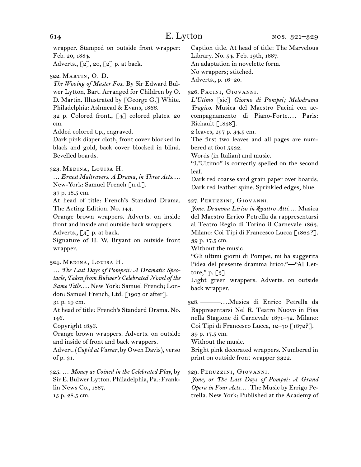wrapper. Stamped on outside front wrapper: Feb. 20, 1884.

Adverts.,  $\lbrack 2 \rbrack$ , 20,  $\lbrack 2 \rbrack$  p. at back.

322. Martin, O. D.

*The Wooing of Master Fox.* By Sir Edward Bulwer Lytton, Bart. Arranged for Children by O. D. Martin. Illustrated by [George G.] White. Philadelphia: Ashmead & Evans, 1866.

32 p. Colored front., [4] colored plates. 20 cm.

Added colored t.p., engraved.

Dark pink diaper cloth, front cover blocked in black and gold, back cover blocked in blind. Bevelled boards.

323. Medina, Louisa H.

… *Ernest Maltravers. A Drama, in Three Acts. . . .*  New-York: Samuel French [n.d.].

37 p. 18.5 cm.

At head of title: French's Standard Drama. The Acting Edition. No. 143.

Orange brown wrappers. Adverts. on inside front and inside and outside back wrappers. Adverts.,  $\lceil 3 \rceil$  p. at back.

Signature of H. W. Bryant on outside front wrapper.

324. Medina, Louisa H.

… *The Last Days of Pompeii: A Dramatic Spectacle, Taken from Bulwer's Celebrated Novel of the Same Title. . . .* New York: Samuel French; London: Samuel French, Ltd. [1907 or after].

31 p. 19 cm.

At head of title: French's Standard Drama. No. 146.

Copyright 1856.

Orange brown wrappers. Adverts. on outside and inside of front and back wrappers.

Advert. (*Cupid at Vassar,* by Owen Davis), verso of p. 31.

325. … *Money as Coined in the Celebrated Play*, by Sir E. Bulwer Lytton. Philadelphia, Pa.: Franklin News Co., 1887. 15 p. 28.5 cm.

Caption title. At head of title: The Marvelous Library. No. 54. Feb. 19th, 1887. An adaptation in novelette form. No wrappers; stitched. Adverts., p. 16–20.

326. Pacini, Giovanni.

*L'Utimo* [sic] *Giorno di Pompei; Melodrama Tragico.* Musica del Maestro Pacini con accompagnamento di Piano-Forte*. . . .* Paris: Richault [1838].

2 leaves, 257 p. 34.5 cm.

The first two leaves and all pages are numbered at foot 5532.

Words (in Italian) and music.

"L'Ultimo" is correctly spelled on the second leaf.

Dark red coarse sand grain paper over boards. Dark red leather spine. Sprinkled edges, blue.

327. Peruzzini, Giovanni.

*Jone. Dramma Lirico in Quattro Atti. . . .* Musica del Maestro Errico Petrella da rappresentarsi al Teatro Regio di Torino il Carnevale 1863. Milano: Coi Tipi di Francesco Lucca [1863?]. 39 p. 17.5 cm.

Without the music

"Gli ultimi giorni di Pompei, mi ha suggerita l'idea del presente dramma lirico."—"Al Lettore," p.  $\lceil 3 \rceil$ .

Light green wrappers. Adverts. on outside back wrapper.

328. ———*. . . .*Musica di Enrico Petrella da Rappresentarsi Nel R. Teatro Nuovo in Pisa nella Stagione di Carnevale 1871–72. Milano: Coi Tipi di Francesco Lucca, 12–70 [1872?].

39 p. 17.5 cm.

Without the music.

Bright pink decorated wrappers. Numbered in print on outside front wrapper 3322.

329. Peruzzini, Giovanni.

*Jone, or The Last Days of Pompei: A Grand Opera in Four Acts. . . .* The Music by Errigo Petrella. New York: Published at the Academy of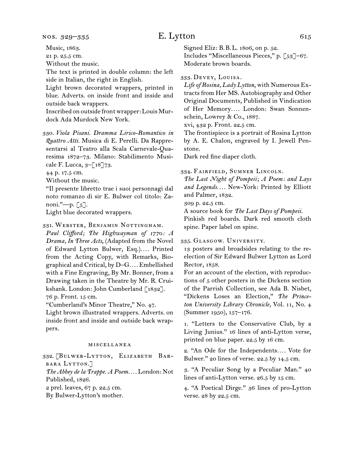nos. 329–335

# E. Lytton 615

Music, 1863.

21 p. 25.5 cm.

Without the music.

The text is printed in double column: the left side in Italian, the right in English.

Light brown decorated wrappers, printed in blue. Adverts. on inside front and inside and outside back wrappers.

Inscribed on outside front wrapper: Louis Murdock Ada Murdock New York.

330. *Viola Pisani. Dramma Lirico-Romantico in Quattro Atti.* Musica di E. Perelli. Da Rappresentarsi al Teatro alla Scala Carnevale-Quaresima 1872–73. Milano: Stabilimento Musicale F. Lucca, 3–[18]73.

44 p. 17.5 cm.

Without the music.

"Il presente libretto trae i suoi personnagi dal noto romanzo di sir E. Bulwer col titolo: Zanoni."—p.  $\lceil 5 \rceil$ .

Light blue decorated wrappers.

331. Webster, Benjamin Nottingham.

*Paul Clifford; The Highwayman of 1770: A Drama, In Three Acts*, (Adapted from the Novel of Edward Lytton Bulwer, Esq.)*. . . .* Printed from the Acting Copy, with Remarks, Biographical and Critical, by D–G*. . . .* Embellished with a Fine Engraving, By Mr. Bonner, from a Drawing taken in the Theatre by Mr. R. Cruikshank. London: John Cumberland [1832]. 76 p. Front. 15 cm.

"Cumberland's Minor Theatre," No. 47.

Light brown illustrated wrappers. Adverts. on inside front and inside and outside back wrappers.

# miscellanea

332. [Bulwer-Lytton, Elizabeth Barbara Lytton.]

*The Abbey de la Trappe. A Poem. . . .* London: Not Published, 1826.

2 prel. leaves, 67 p. 22.5 cm.

By Bulwer-Lytton's mother.

Signed Eliz: B.B.L. 1806, on p. 52. Includes "Miscellaneous Pieces," p. [53]–67. Moderate brown boards.

### 333. Devey, Louisa.

*Life of Rosina, Lady Lytton*, with Numerous Extracts from Her MS. Autobiography and Other Original Documents, Published in Vindication of Her Memory*. . . .* London: Swan Sonnenschein, Lowrey & Co., 1887.

xvi, 432 p. Front. 22.5 cm.

The frontispiece is a portrait of Rosina Lytton by A. E. Chalon, engraved by I. Jewell Penstone.

Dark red fine diaper cloth.

334. Fairfield, Sumner Lincoln.

*The Last Night of Pompeii; A Poem: and Lays and Legends. . . .* New-York: Printed by Elliott and Palmer, 1832.

309 p. 22.5 cm.

A source book for *The Last Days of Pompeii.*

Pinkish red boards. Dark red smooth cloth spine. Paper label on spine.

335. Glasgow. University.

13 posters and broadsides relating to the reelection of Sir Edward Bulwer Lytton as Lord Rector, 1858.

For an account of the election, with reproductions of 5 other posters in the Dickens section of the Parrish Collection, see Ada B. Nisbet, "Dickens Loses an Election," *The Princeton University Library Chronicle,* Vol. 11, No. 4 (Summer 1950), 157–176.

1. "Letters to the Conservative Club, by a Living Junius." 16 lines of anti-Lytton verse, printed on blue paper. 22.5 by 16 cm.

2. "An Ode for the Independents*. . . .* Vote for Bulwer." 20 lines of verse. 22.5 by 14.5 cm.

3. "A Peculiar Song by a Peculiar Man." 40 lines of anti-Lytton verse. 26.5 by 15 cm.

4. "A Poetical Dirge." 36 lines of pro-Lytton verse. 28 by 22.5 cm.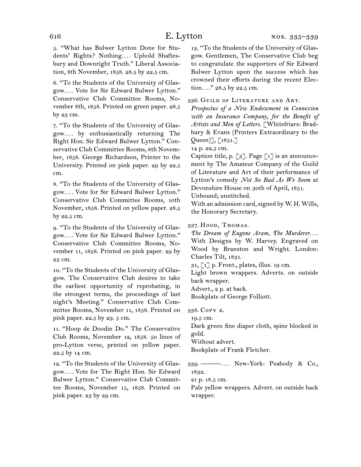5. "What has Bulwer Lytton Done for Students' Rights? Nothing*. . . .* Uphold Shaftesbury and Downright Truth." Liberal Association, 8th November, 1858. 28.5 by 22.5 cm.

6. "To the Students of the University of Glasgow*. . . .* Vote for Sir Edward Bulwer Lytton." Conservative Club Committee Rooms, November 8th, 1858. Printed on green paper. 28.5 by 23 cm.

7. "To the Students of the University of Glasgow*. . . .* by enthusiastically returning The Right Hon. Sir Edward Bulwer Lytton." Conservative Club Committee Rooms, 8th November, 1858. George Richardson, Printer to the University. Printed on pink paper. 29 by 22.5 cm.

8. "To the Students of the University of Glasgow*. . . .* Vote for Sir Edward Bulwer Lytton." Conservative Club Committee Rooms, 10th November, 1858. Printed on yellow paper. 28.5 by 22.5 cm.

9. "To the Students of the University of Glasgow*. . . .* Vote for Sir Edward Bulwer Lytton." Conservative Club Committee Rooms, November 11, 1858. Printed on pink paper. 29 by 23 cm.

10. "To the Students of the University of Glasgow. The Conservative Club desires to take the earliest opportunity of reprobating, in the strongest terms, the proceedings of last night's Meeting." Conservative Club Committee Rooms, November 11, 1858. Printed on pink paper. 22.5 by 29. 5 cm.

11. "Hoop de Doodin Do." The Conservative Club Rooms, November 12, 1858. 50 lines of pro-Lytton verse, printed on yellow paper. 22.5 by 14 cm.

12. "To the Students of the University of Glasgow*. . . .* Vote for The Right Hon. Sir Edward Bulwer Lytton." Conservative Club Committee Rooms, November 15, 1858. Printed on pink paper. 23 by 29 cm.

13. "To the Students of the University of Glasgow. Gentlemen, The Conservative Club beg to congratulate the supporters of Sir Edward Bulwer Lytton upon the success which has crowned their efforts during the recent Election*. . . .*" 28.5 by 22.5 cm.

336. Guild of Literature and Art.

*Prospectus of a New Endowment in Connexion with an Insurance Company, for the Benefit of Artists and Men of Letters.* [Whitefriars: Bradbury & Evans (Printers Extraordinary to the  $[$ [1851.]

14 p. 22.5 cm.

Caption title, p.  $\lceil 3 \rceil$ . Page  $\lceil 1 \rceil$  is an announcement by The Amateur Company of the Guild of Literature and Art of their performance of Lytton's comedy *Not So Bad As We Seem* at Devonshire House on 30th of April, 1851.

Unbound; unstitched.

With an admission card, signed by W. H. Wills, the Honorary Secretary.

337. Hood, Thomas.

*The Dream of Eugene Aram, The Murderer. . . .*  With Designs by W. Harvey. Engraved on Wood by Branston and Wright. London: Charles Tilt, 1831.

31, [1] p. Front., plates, illus. 19 cm.

Light brown wrappers. Adverts. on outside back wrapper.

Advert., 2 p. at back.

Bookplate of George Folliott.

338. Copy 2.

19.5 cm.

Dark green fine diaper cloth, spine blocked in gold.

Without advert.

Bookplate of Frank Fletcher.

339. ———*. . . .* New-York: Peabody & Co., 1832.

21 p. 18.5 cm.

Pale yellow wrappers. Advert. on outside back wrapper.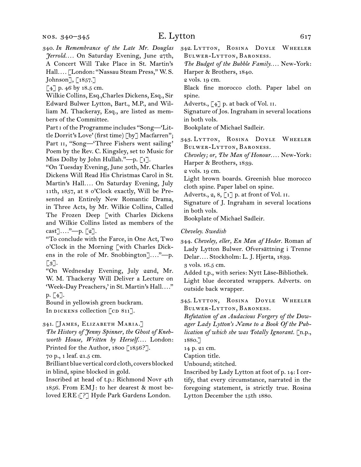# E. Lytton 617

- 340. *In Remembrance of the Late Mr. Douglas Jerrold. . . .* On Saturday Evening, June 27th, A Concert Will Take Place in St. Martin's Hall*. . . .* [London: "Nassau Steam Press," W. S. Johnson], [1857.]
- $\lceil 4 \rceil$  p. 46 by 18.5 cm.

Wilkie Collins, Esq.,Charles Dickens, Esq., Sir Edward Bulwer Lytton, Bart., M.P., and William M. Thackeray, Esq., are listed as members of the Committee.

Part i of the Programme includes "Song—'Little Dorrit's Love' (first time) [by] Macfarren"; Part II, "Song-'Three Fishers went sailing' Poem by the Rev. C. Kingsley, set to Music for Miss Dolby by John Hullah."—p. [1].

"On Tuesday Evening, June 30th, Mr. Charles Dickens Will Read His Christmas Carol in St. Martin's Hall*. . . .* On Saturday Evening, July 11th, 1857, at 8 o'Clock exactly, Will be Presented an Entirely New Romantic Drama, in Three Acts, by Mr. Wilkie Collins, Called The Frozen Deep [with Charles Dickens and Wilkie Collins listed as members of the cast]*. . . .*"—p. [2].

"To conclude with the Farce, in One Act, Two o'Clock in the Morning [with Charles Dickens in the role of Mr. Snobbington]*. . . .*"—p.  $\lceil 3 \rceil$ .

"On Wednesday Evening, July 22nd, Mr. W. M. Thackeray Will Deliver a Lecture on 'Week-Day Preachers,' in St. Martin's Hall*. . . .*" p. [4].

Bound in yellowish green buckram. In DICKENS collection [CD 811].

# 341. [James, Elizabeth Maria.]

*The History of Jenny Spinner, the Ghost of Knebworth House, Written by Herself. . . .* London: Printed for the Author, 1800 [1856?].

70 p., 1 leaf. 21.5 cm.

Brilliant blue vertical cord cloth, covers blocked in blind, spine blocked in gold.

Inscribed at head of t.p.: Richmond Novr 4th 1856. From EMJ: to her dearest & most beloved ERE:[?] Hyde Park Gardens London.

342. Lytton, Rosina Doyle Wheeler Bulwer-Lytton, Baroness.

*The Budget of the Bubble Family. . . .* New-York: Harper & Brothers, 1840.

2 vols. 19 cm.

Black fine morocco cloth. Paper label on spine.

Adverts.,  $\lceil 4 \rceil$  p. at back of Vol. II.

Signature of Jos. Ingraham in several locations in both vols.

Bookplate of Michael Sadleir.

343. Lytton, Rosina Doyle Wheeler Bulwer-Lytton, Baroness.

*Cheveley; or, The Man of Honour. . . .* New-York: Harper & Brothers, 1839.

2 vols. 19 cm.

Light brown boards. Greenish blue morocco cloth spine. Paper label on spine.

Adverts.,  $2, 8, \lceil 1 \rceil$  p. at front of Vol. II.

Signature of J. Ingraham in several locations in both vols.

Bookplate of Michael Sadleir.

# *Cheveley. Swedish*

344. *Cheveley, eller, En Man af Heder.* Roman af Lady Lytton Bulwer. Ofversättning i Trenne Delar*. . . .* Stockholm: L. J. Hjerta, 1839. 3 vols. 16.5 cm.

Added t.p., with series: Nytt Läse-Bibliothek.

Light blue decorated wrappers. Adverts. on outside back wrapper.

345. Lytton, Rosina Doyle Wheeler Bulwer-Lytton, Baroness.

*Refutation of an Audacious Forgery of the Dowager Lady Lytton's Name to a Book Of the Publication of which she was Totally Ignorant.* [n.p., 1880.]

14 p. 21 cm.

Caption title.

Unbound; stitched.

Inscribed by Lady Lytton at foot of p. 14: I certify, that every circumstance, narrated in the foregoing statement, is strictly true. Rosina Lytton December the 15th 1880.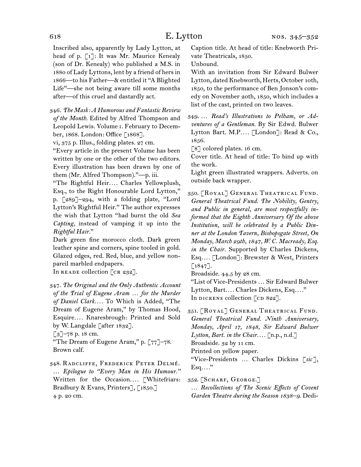Inscribed also, apparently by Lady Lytton, at head of p. [1]: It was Mr. Maurice Kenealy (son of Dr. Kenealy) who published a M.S. in 1880 of Lady Lyttons, lent by a friend of hers in 1866—to his Father—& entitled it "A Blighted Life"—she not being aware till some months after—of this cruel and dastardly act.

346. *The Mask: A Humorous and Fantastic Review of the Month.* Edited by Alfred Thompson and Leopold Lewis. Volume i. February to December, 1868. London: Office [1868].

vi, 375 p. Illus., folding plates. 27 cm.

"Every article in the present Volume has been written by one or the other of the two editors. Every illustration has been drawn by one of them (Mr. Alfred Thompson)."—p. iii.

"The Rightful Heir*. . . .* Charles Yellowplush, Esq., to the Right Honourable Lord Lytton," p. [289]–294, with a folding plate, "Lord Lytton's Rightful Heir." The author expresses the wish that Lytton "had burnt the old *Sea Capting,* instead of vamping it up into the *Rightful Hair.*"

Dark green fine morocco cloth. Dark green leather spine and corners, spine tooled in gold. Glazed edges, red. Red, blue, and yellow nonpareil marbled endpapers.

In READE collection [CR 232].

347. *The Original and the Only Authentic Account of the Trial of Eugene Aram … for the Murder of Daniel Clark. . . .* To Which is Added, "The Dream of Eugene Aram," by Thomas Hood, Esquire*. . . .* Knaresbrough: Printed and Sold by W. Langdale [after 1832].

[3]–78 p. 18 cm.

"The Dream of Eugene Aram," p. [77]–78. Brown calf.

348. RADCLIFFE, FREDERICK PETER DELMÉ. … *Epilogue to "Every Man in His Humour."* Written for the Occasion*. . . .* [Whitefriars: Bradbury & Evans, Printers], [1850.] 4 p. 20 cm.

Caption title. At head of title: Knebworth Private Theatricals, 1850.

Unbound.

With an invitation from Sir Edward Bulwer Lytton, dated Knebworth, Herts, October 10th, 1850, to the performance of Ben Jonson's comedy on November 20th, 1850, which includes a list of the cast, printed on two leaves.

349. … *Read's Illustrations to Pelham, or Adventures of a Gentleman.* By Sir Edwd. Bulwer Lytton Bart. M.P*. . . .* [London]: Read & Co., 1856.

[8] colored plates. 16 cm.

Cover title. At head of title: To bind up with the work.

Light green illustrated wrappers. Adverts. on outside back wrapper.

350. [Royal] General Theatrical Fund. *General Theatrical Fund. The Nobility, Gentry, and Public in general, are most respectfully informed that the Eighth Anniversary Of the above Institution, will be celebrated by a Public Dinner at the London Tavern, Bishopsgate Street, On Monday, March 29th, 1847, W. C. Macready, Esq. in the Chair.* Supported by Charles Dickens, Esq*. . . .* [London]: Brewster & West, Printers  $\lceil 1847 \rceil$ .

Broadside. 44.5 by 28 cm.

"List of Vice-Presidents … Sir Edward Bulwer Lytton, Bart*. . . .* Charles Dickens, Esq*. . . .*" In DICKENS collection [CD 822].

351. [Royal] General Theatrical Fund. *General Theatrical Fund. Ninth Anniversary, Monday, April 17, 1848, Sir Edward Bulwer*   $Lytton, Bart.$  *in the Chair....* [n.p., n.d.] Broadside. 32 by 11 cm. Printed on yellow paper.

"Vice-Presidents … Charles Dickins [*sic* ],  $Esq...$ "

352. [Scharf, George.] … *Recollections of The Scenic Effects of Covent* 

*Garden Theatre during the Season 1838–9.* Dedi-